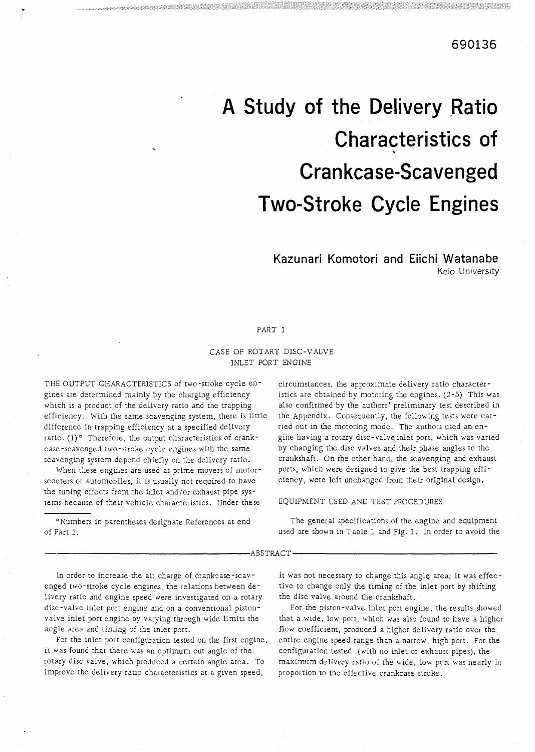# **A Study of the Delivery Ratio Characteristics of Cran kcase-Scavenged Two-Stroke Cycle Engines**

# **Kazunari Komotori and Eiichi Watanabe**

Keio University

#### PART 1

#### CASE OF ROTARY DISC-VALVE INLET PORT ENGINE

THE OUTPUT CHARACTERISTICS of two-stroke cycle engines are determined mainly by the charging efficiency which is a product of the delivery ratio and the trapping efficiency. With the same scavenging system, there is little difference in trapping efficiency at a specified delivery ratio. (1)<sup>\*</sup> Therefore, the output characteristics of crankcase -scavenged two -stroke cycle engines with the same scavenging system depend chiefly on the delivery ratio.

When these engines are used as prime movers of motorscooters or auromobiles, it is usually not required to have the tuning effects from the inlet and/or exhaust pipe sysrems because of their vehicle characteristics. Under these

"Numbers in parentheses designate References at end of Part 1.

circumstances, the approximate delivery ratio <sup>c</sup> istics are obtained by motoring the engines. (2-5) This was also confirmed by the authors' preliminary test described in the Appendix. Consequently, the following tests were carried out in the motoring mode. The authors used an engine having a rotary disc-valve inlet port, which was varied by changing the disc valves and their phase angles to the crankshaft. On the other hand, the scavenging and exhaust ports, which were designed to give the best trapping efficiency, were left unchanged from their original design.

#### EQUIPMENT USED AND TEST PROCEDURES

The general specifications of the engine and equipment used are shown in Table 1 and Fig. 1. In order to avoid the

ABSTRACT.

In order to increase the air charge of crankcase-scavenged two-stroke cycle engines, the relations between delivery ratio and engine speed were investigated on a rotary disc-valve inlet port engine and on a conventional pistonvalve inlet port engine by varying through wide limits the angle area and timing of the inlet port.

For the inlet port configuration tested on the first engine, it was found that there was an optimum cut angle of the rotary disc valve, which produced a certain angle area. To improve the delivery ratio characteristics at a given speed,

it was not necessary to change this angle area; it was effective to change only the timing of the inlet port by shifting the disc valve around the crankshaft.

For the piston-valve inlet port engine, the results showed that a wide, low port, which was also found to have a higher flow coefficient, produced a higher delivery ratio over the entire engine speed range than a narrow, high port. For the configuration tested (with no inlet or exhaust pipes), the maximum delivery ratio of the wide, low port was nearly in proportion to the effective crankcase stroke.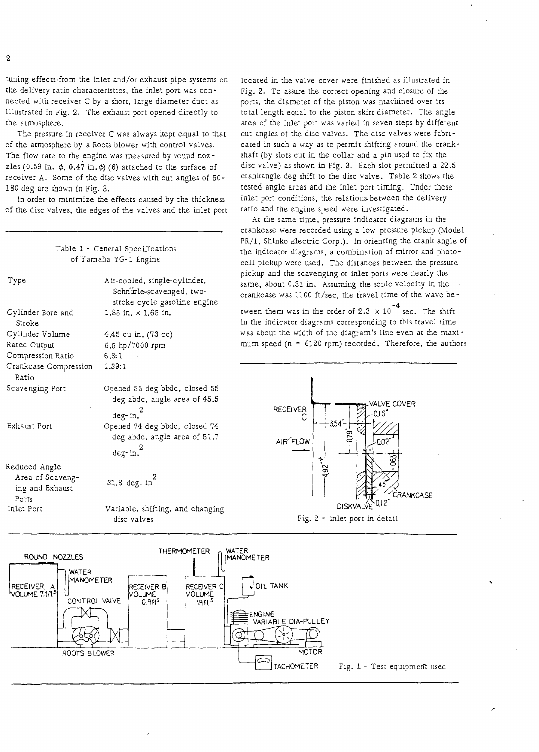tuning effects,from the inlet and/or exhaust pipe systems on the delivery ratio characteristics, rhe inlet port was connected with receiver C by a short, large diameter duct as illustrated in Fig. 2. The exhaust port opened directly to the atmosphere.

The pressure in receiver C was always kept equal to that of the atmosphere by a Roots blower with control valves. The flow rate to the engine was measured by round nozzles (0.59 in.  $\phi$ , 0.47 in.  $\phi$ ) (6) attached to the surface of receiver A. Some of the disc valves with cut angles of 50- 180 deg are shown in Fig. 3.

In order to minimize the effects caused by the thickness of the disc valves, the edges of the valves and the inlet port

|                                                               | Table 1 - General Specifications<br>of Yamaha YG-1 Engine                                |
|---------------------------------------------------------------|------------------------------------------------------------------------------------------|
| Type                                                          | Air-cooled, single-cylinder,<br>Schnurle-scavenged, two-<br>stroke cycle gasoline engine |
| Cylinder Bore and<br>Stroke                                   | $1.85$ in. $\times$ 1.65 in.                                                             |
| Cylinder Volume                                               | 4.45 cu in. (73 cc)                                                                      |
| Rated Output                                                  | 6.5 hp/7000 rpm                                                                          |
| Compression Ratio                                             | 6.8:1                                                                                    |
| Crankcase Compression<br>Ratio                                | 1.39:1                                                                                   |
| Scavenging Port                                               | Opened 55 deg bbdc, closed 55<br>deg abdc, angle area of 45.5<br>$\deg$ - in. $^2$       |
| Exhaust Port                                                  | Opened 74 deg bbdc, closed 74<br>deg abdc, angle area of 51.7<br>$deg$ -in. $^2$         |
|                                                               |                                                                                          |
| Reduced Angle<br>Area of Scaveng-<br>ing and Exhaust<br>Ports | 31.8 deg. $in^2$                                                                         |
| Inlet Port                                                    | Variable, shifting, and changing<br>disc valves                                          |

located in the valve cover were finished as illustrated in Fig. 2. To assure the correct opening and closure of the ports, the diameter of the piston was machined over its total length equal to the piston skirt diameter. The angle area of the inlet port was varied in seven steps by different cut angles of the disc valves. The disc valves were fabricated in such a way as to permit shifting around the crankshaft (by slots cut in the collar and a pin used to fix the disc valve) as shown in Fig. 3. Each slot permitted a 22.5 crankangle deg shift to the disc valve. Table 2 shows the tested angle areas and rhe inlet port timing. Under these inlet port conditions, the relations between the delivery ratio and the engine speed were investigated.

At the same time, pressure indicator diagrams in the crankcase were recorded using a low -pressure pickup (Model PR/1, Shinko Electric Corp.). In orienting the crank angle of the indicator diagrams, a combination of mirror and photocell pickup were used. The distances between the pressure pickup and the scavenging or inlet ports were nearly the same, about 0.31 in. Assuming the sonic velocity in the crankcase was 1100 ft/sec, the travel time of rhe wave be-

tween them was in the order of 2.3  $\times$  10<sup>-4</sup> sec. The shift in the indicator diagrams corresponding to this travel time was about the widrh of the diagram's line even at the maximum speed (n = 6120 rpm) recorded. Therefore, the authors



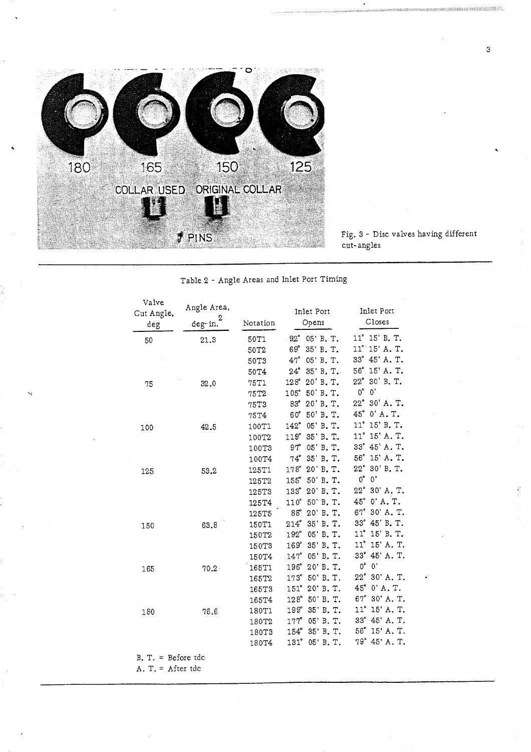

Fig. 3 - Disc valves having different cut- angles

Table 2 - Angle Areas and Inlet Port Timing

| Valve<br>Cut Angle, | Angle Area,  |                   | Inlet Port                | Inlet Port                |
|---------------------|--------------|-------------------|---------------------------|---------------------------|
| deg                 | 2<br>deg-in. | Notation          | Opens                     | Closes                    |
| 50                  | 21.3         | 50T1              | 92°<br>05' B. T.          | 11° 15' B.T.              |
|                     |              | 50T <sub>2</sub>  | 69°<br>35' B.T.           | 11° 15' A.T.              |
|                     |              | 50T3              | $47^{\circ}$<br>05' B.T.  | 33° 45' A.T.              |
|                     |              | 50T4              | $24^\circ$<br>35' B. T.   | 56° 15' A.T.              |
| 75                  | 32.0         | 75T1              | 20' B. T.<br>$128^\circ$  | 22°<br>30' B. T.          |
|                     |              | 75T <sub>2</sub>  | 50 B.T.<br>105°           | $0^\circ$<br>$0^{\prime}$ |
|                     |              | 75T3              | 20 B.T.<br>$83^\circ$     | 22° 30' A.T.              |
|                     |              | 75T4              | $60^{\circ}$<br>50' B.T.  | $45^\circ$<br>$0'$ A.T.   |
| 100                 | 42.5         | 100T1             | 05' B.T.<br>142°          | 11° 15′ B.T.              |
|                     |              | 100T <sub>2</sub> | 35' B. T.<br>119°         | 11° 15' A.T.              |
|                     |              | 100T3             | 05' B.T.<br>$97^{\circ}$  | $33^\circ$<br>45' A.T.    |
|                     |              | 100T4             | 74° 35' B.T.              | 56° 15' A.T.              |
| 125                 | 53.2         | 125T1             | 20' B.T.<br>$178^\circ$   | 22° 30' B.T.              |
|                     |              | 125T2             | 50' B. T.<br>$155^\circ$  | $0^\circ$<br>$0,$         |
|                     |              | 125T3             | 20' B.T.<br>133°          | 22°<br>30' A.T.           |
|                     |              | 125T4             | 50' B. T.<br>$110^\circ$  | 45° 0' A.T.               |
|                     |              | 125T5             | 88°<br>20' B.T.           | $67^\circ$<br>30' A.T.    |
| 150                 | 63.8         | 150T1             | 35' B.T.<br>$214^\circ$   | 33° 45' B.T.              |
|                     |              | 150T <sub>2</sub> | $192^{\circ}$<br>05' B.T. | 11° 15' B.T.              |
|                     |              | 150T3             | $169^\circ$<br>35' B.T.   | $11^{\circ}$<br>15' A.T.  |
|                     |              | 150T4             | 05' B.T.<br>$147^\circ$   | 33° 45' A.T.              |
| 165                 | $70.2 \cdot$ | 165T1             | 20' B. T.<br>196°         | $0^\circ$<br>$0^{\circ}$  |
|                     |              | 165T <sub>2</sub> | 50' B. T.<br>$173^\circ$  | $22\degree$<br>30' A.T.   |
|                     |              | 165T3             | 151° 20' B.T.             | 45° 0' A.T.               |
|                     |              | 165T4             | 50' B.T.<br>$128^\circ$   | 30' A. T.<br>$67^{\circ}$ |
| 180                 | 76.6         | 180T1             | 35' B.T.<br>199°          | $11^\circ$<br>15' A.T.    |
|                     |              | 180T <sub>2</sub> | 05' B. T.<br>$177^\circ$  | 33° 45' A.T.              |
|                     |              | 180T3             | 35' B. T.<br>$154^\circ$  | 56° 15' A.T.              |
|                     |              | 180T4             | 05' B. T.<br>$131^\circ$  | 79° 45' A.T.              |

B. T. = Before tdc

A. T. = After tdc

 $\mathbf{3}$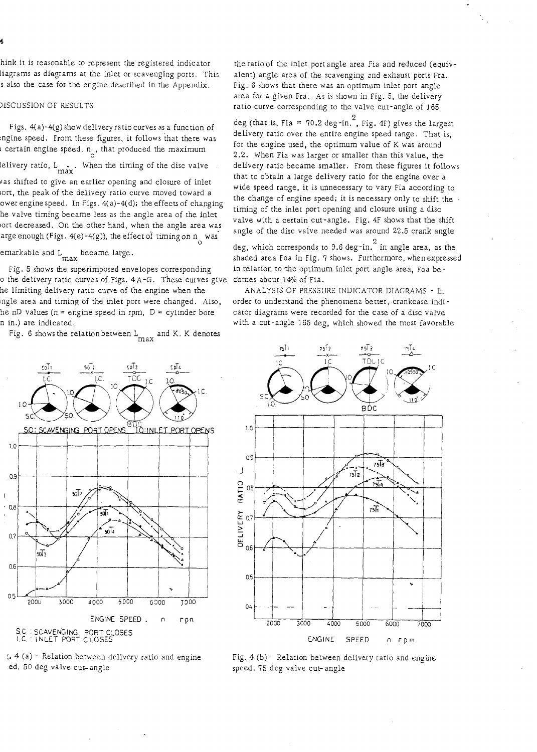hink it is reasonable to represent the registered indicator iiagrams as diagrams at the inlet or scavenging ports. This s also the case for the engine described in the Appendix.

## DISCUSSION OF RESULTS

Figs.  $4(a)-4(g)$  show delivery ratio curves as a function of :ngine speed. From these figures, it follows that there was 1 certain engine speed,  $n_A$ , that produced the maximum

lelivery ratio,  $L_{\text{max}}$ . When the timing of the disc valve

vas shifted to give an earlier opening and closure of inlet lort, the peak of the delivery ratio curve moved toward a ower engine speed. In Figs.  $4(a)-4(d)$ ; the effects of changing .he valve timing became less as the angle area of the inlet ort decreased. On the other hand, when the angle area was arge enough (Figs.  $4(e) - 4(g)$ ), the effect of timing on  $n_g$  was

emarkable and L became large.

Fig. 5 shows the superimposed envelopes corresponding  $\circ$  the delivery ratio curves of Figs. 4 A-G. These curves give comes about 14% of Fia. he limiting delivery ratio curve of the engine when the lngle area and timing of the inlet port were changed. Also, he nD values ( $n =$  engine speed in rpm,  $D =$  cylinder bore n in.) are indicated.

Fig. 6 shows the relation between  $L_{\text{max}}$  and K. K denotes

the ratio of the inlet port angle area Fia and reduced (equivalent) angle area of the scavenging and exhaust ports Fra. Fig. 6 shows thar there was an optimum inlet port angle area for a given Fra. As is shown in Fig. 5, the delivery ratio curve corresponding to the valve cut-angle of 165

deg (that is, Fia = 70.2 deg-in.<sup>2</sup>, Fig. 4F) gives the largest delivery ratio over the entire engine speed range. That is, for the engine used, the optimum value of K was around 2.2. When Fia was larger or smaller than this value, the delivery ratio became smaller. From these figures it follows that to obtain a large delivery ratio for the engine over a wide speed range, it is unnecessary to vary Fia according to the change of engine speed; it is necessary only to shift the timing of the inlet port opening and closure using a disc valve with a certain cut-angle. Fig. 4F shows that the shift angle of the disc valve needed was around 22.5 crank angle

deg, which corresponds to 9.6 deg-in.<sup>2</sup> in angle area, as the shaded area Foa in Fig. 7 shows. Furthermore, when expressed in relation to the optimum inlet port angle area, Foa be-

ANALYSIS OF PRESSURE INDICATOR DIAGRAMS - In order to understand the phenomena betrer, crankcase indicator diagrams were recorded for the case of a disc valve with a cut-angle 165 deg, which showed the most favorable

T DC

75) 4





;. 4 (a) - Relation between delivery ratio and engine Fig. 4 (b) - Relation between delivery ratio and engine speed, 75 deg valve cut-angle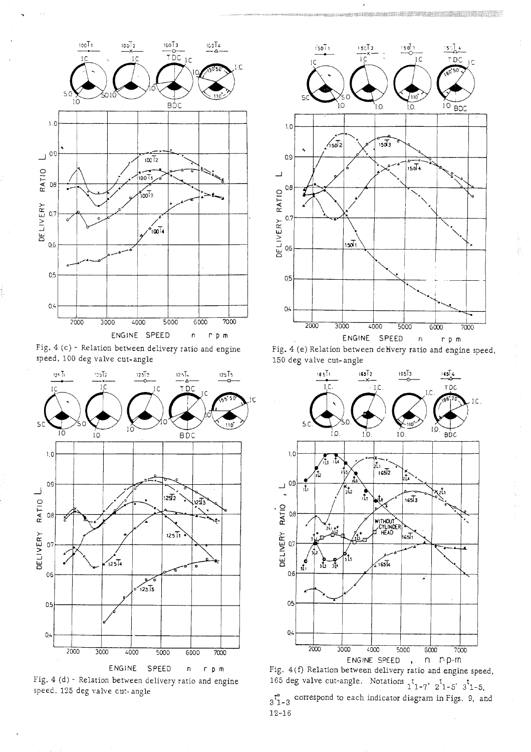

Fig. 4 (c) - Relation between delivery ratio and engine speed, 100 deg valve cur-angle



Fig. 4 (d) - Relation between delivery ratio and engine speed, 125 deg valve cut- angle



 $\cdot$ 

Fig. 4 (e) Relation between delivery ratio and engine speed,<br>  $\frac{150 \text{ deg value cut-angle}}{\frac{151}{100}} = \frac{155\frac{1}{2}}{100} = \frac{155\frac{1}{2}}{100} = \frac{155\frac{1}{2}}{100}$ 150 deg valve cut-angle



Fig. 4(f) Relation between delivery ratio and engine speed, 165 deg valve cut-angle. Notations  $1^{t}$  1-7'  $2^{t}$  1-5'  $3^{t}$  1-5,  $\mathfrak{r}_{1-3}^{\bullet}$  correspond to each indicator diagram in Figs. 9, and 12-16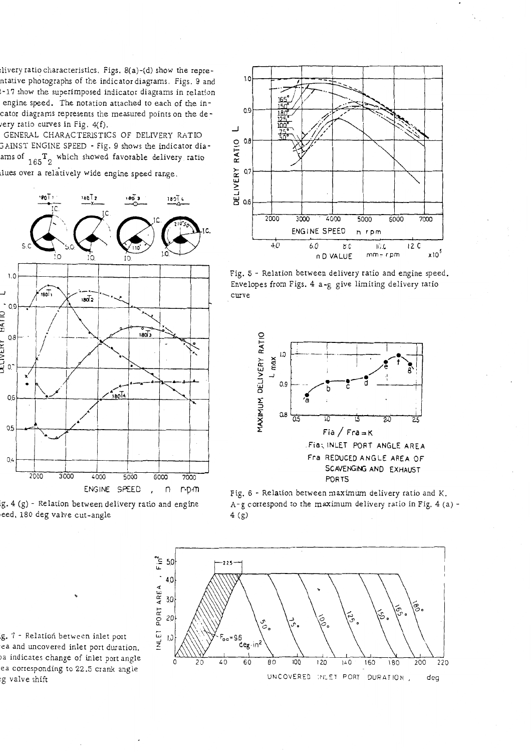livery ratio characteristics. Figs. 8(a)-(d) show the reprentative photographs of the indicator diagrams. Figs. 9 and 2-17 show the superimposed indicator diagrams in relation engine speed. The notation attached to each of the incator diagrams represents the measured points on the devery ratio curves in Fig.  $4(f)$ .

GENERAL CHARACTERISTICS OF DELIVERY RATIO GAINST ENGINE SPEED - Fig. 9 shows the indicator diaams of  $T_1 65$ <sup>T</sup><sub>2</sub> which showed favorable delivery ratio

lues over a relatively wide engine speed range.



ig. 4 (g) - Relation between delivery rario and engine eed. 180 deg valve cut-angle



Fig. *5* - Relation between delivery ratio and engine speed. Envelopes from Figs. 4 a-g give limiting delivery ratio curve







ig. 7 - Relation between inlet port .ea and uncovered inlet port duration.<br>ea and uncovered inlet port duration. la indicates change of inlet port angle ea corresponding to 22<mark>.5 crank angle</mark><br>eg valve shift

**5**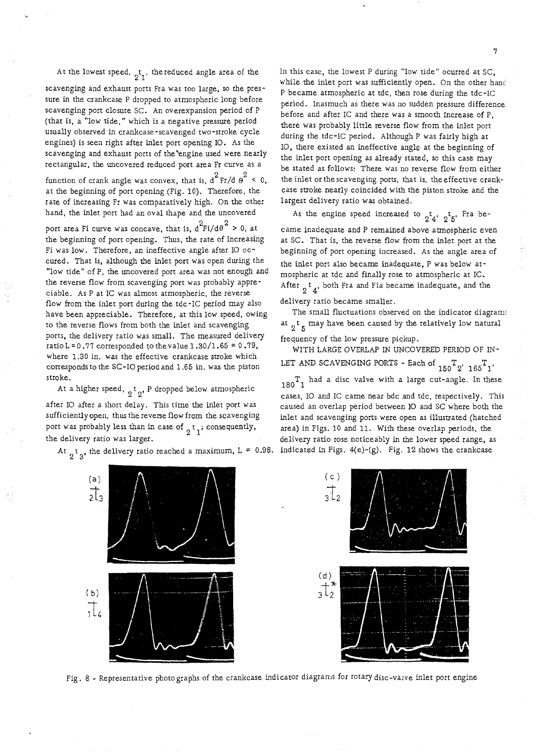At the lowest speed,  $t<sub>1</sub>$ , the reduced angle area of the

scavenging and exhaust ports Fra was too large, so the pressure in the crankcase P dropped to atmospheric long before scavenging port closure SC. An overexpansion period of P (that is, a "low tide," which is a negative pressure period usually observed in crankcase-scavenged two-stroke cycle engines) is seen right after inlet port opening 10. As the scavenging and exhaust ports of the<sup>e</sup>engine used were nearly rectangular, the uncovered reduced port area Fr curve as a function of crank angle was convex, that is,  $d^2 Fr/d\theta^2 < 0$ , at the beginning of port opening (Fig. 10). Therefore, the rate of increasing Fr was comparatively high. On the other hand, the inlet port had an oval shape and the uncovered port area Fi curve was concave, that is,  $d^2F i/d\theta^2 > 0$ , at the beginning of port opening. Thus, the rate of increasing Fi was low. Therefore, an ineffective angle after I0 occured. That is, although the inlet port was open during the "low tide" of P, the uncovered port area was not enough and the reverse flow from scavenging port was probably appreciable. As P at IC was almost atmospheric, the reverse flow from the inlet port during the tdc-IC period may also have been appreciable. Therefore, at this low speed, owing to the reverse flows from both the inlet and scavenging ports, the delivery ratio was small. The measured delivery ratio L = 0.77 corresponded to the value  $1.30/1.65 = 0.79$ ,

where 1.30 in. was the effective crankcase stroke which corresponds to the SC-I0 period and 1.65 in. was the piston stroke.

At a higher speed,  $\frac{1}{2}$ <sup>t</sup> <sub>2</sub>, P dropped below atmospheric after I0 after a short delay. This time the inlet port was sufficiently open, thus the reverse flow from the scavenging port was probably less than in case of  $\int_{0}^{t}$  *i* consequently, the delivery ratio was larger.

the delivery ratio reached a maximum,

In this case, the lowest P during "low tide" ocurred at SC, while the inlet port was sufficiently open. On the other hand P became atmospheric at tdc, then rose during the tdc-IC period. Inasmuch as there was no sudden pressure difference before and after IC and there was a smooth increase of P, there was probably little reverse flow from the inlet port during the tdc-IC period. Although P was fairly high at 10, there existed an ineffective anglg at the beginning of the inlet port opening as already stated, so this case may be stated as follows: There was no reverse flow from either the inlet or the scavenging ports, that is, the effective crankcase stroke nearly coincided with the piston stroke and the largest delivery ratio was obtained.

As the engine speed increased to  $_2t_4$ ,  $_2t_5$ , Fra became inadequate and P remained above atmospheric even at SC. That is, the reverse flow from the inlet port at the beginning of port opening increased. As the angle area of the inlet port also became inadequate, P was below atmospheric at tdc and finally rose to atmospheric at IC. After  $_2$ <sup>t</sup><sub>4</sub>, both Fra and Fia became inadequate, and the delivery ratio became smaller.

The small fluctuations observed on the indicator diagrams at  $2^t$  5 may have been caused by the relatively low natural

frequency of the low pressure pickup.

WITH LARGE OVERLAP IN UNCOVERED PERIOD OF IN-LET AND SCAVENGING PORTS - Each of  $_{150}T_{2}$ '  $_{165}T_{1}$ '  $T_1$  had a disc valve with a large cut-angle. In these cases, I0 and IC came near bdc and tdc, respectively. This caused an overlap period between I0 and SC where both the inlet and scavenging ports were open as illustrated (hatched area) in Figs. 10 and 11. With these overlap periods, the delivery ratio rose noticeably in the lower speed range, as indicated in Figs.  $4(e)-(g)$ . Fig. 12 shows the crankcase



Fig. 8 - Representative photographs of the crankcase indicator diagrams for rotary disc-valve inlet port engine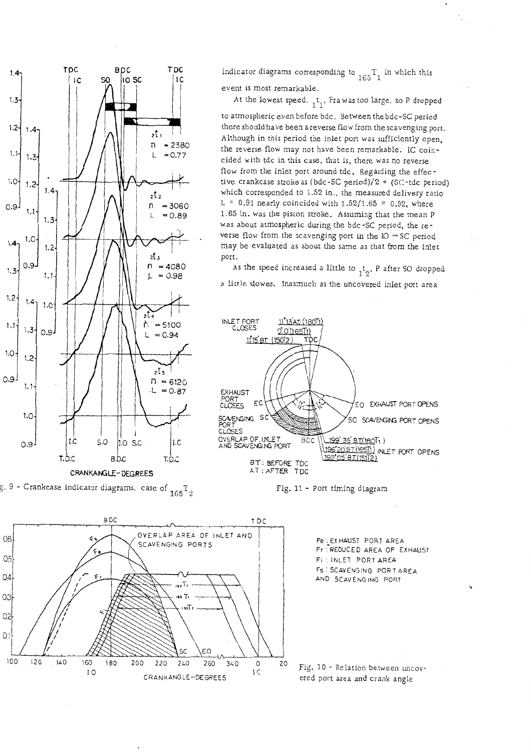

CRANKANGLE- DEGREES

g. 9 - Crankcase indicator diagrams, case of  $\frac{1}{165}T_2$  Fig. 11 - Port timing diagram



At the lowest speed,  $_1t_1$ , Fra was too large, so P dropped to atmospheric even before bdc. Between the bdc-SC period there should have been a reverse flow from the scavenging port. Although in this period the inlet port was sufficiently open, the reverse flow may not have been remarkable. IC coincided with tdc in this case, that is, there was no reverse flow from the inlet port around tdc. Regarding the effec tive crankcase stroke as (bdc-SC period)/2 + (SC-tdc period) which corresponded to 1.52 in., the measured delivery ratio L = 0.91 nearly coincided with  $1.52/1.65$  = 0.92, where 1.65 in. was the piston stroke. Assuming that the mean P was about atmospheric during the bdc-SC period, the reverse flow from the scavenging port in the IO  $\sim$  SC period may be evaluated as about the same as that from the inlet port.

As the speed increased a little to  $t_1$ , P after SO dropped a litrle slower.. Inasmuch as the uncovered inlet port area







Fig. 10 - Relation between uncovered port area and crank angle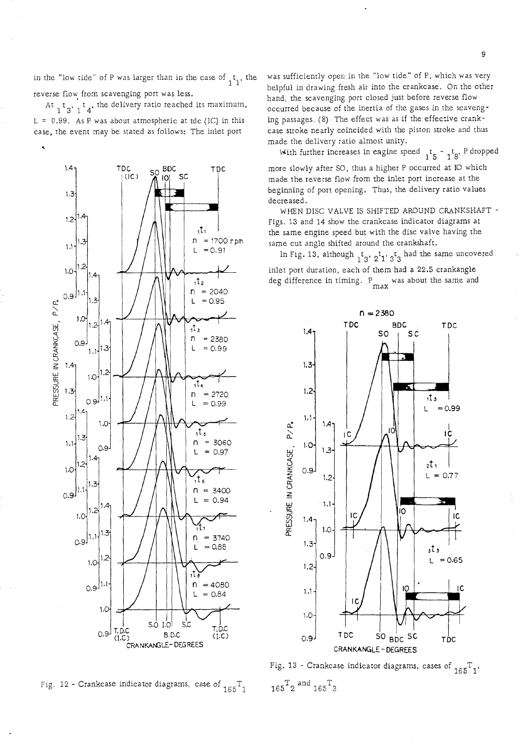n the "low tide" of P was larger than in the case of  $\begin{bmatrix} t_1 \\ t_2 \end{bmatrix}$ , the reverse flow, from scavenging porr was less.

At  $_1$  t  $_3$ ,  $_1$  t<sub>4</sub>, the delivery ratio reached its maximum,

 $L = 0.99$ . As P was about atmospheric at tdc (IC) in this case, the event may be stated as follows: The inlet porr



was sufficiently open in the "low tide" of P, which was very helpful in drawing fresh air into the crankcase. On the other hand, the scavenging port closed just before reverse flow occurred because of the inertia of the gases in the scavenging passages. (8) - The effect was as if the effecrive crankcase stroke nearly coincided with the piston stroke and thus made the delivery ratio almost unity.

With further increases in engine speed  $\frac{1}{15}$   $\frac{1}{8}$ , P dropped more slowly after SO, thus a higher P occurred at I0 which made the reverse flow from the inlet port increase at the beginning of porr opening. Thus, the delivery ratio values decreased.

WHEN DISC VALVE IS SHIFTED AROUND CRANKSHAFT - Figs. 13 and 14 show the crankcase indicator diagrams at the same engine speed but with the disc valve having the same cut angle shifted around the crankshaft.

In Fig. 13, although  $_1$ t<sub>3</sub>,  $_2$ <sup>t</sup><sub>1</sub>,  $_3$ t<sub>3</sub> had the same uncovered inlet port duration, each of them had a 22.5 crankangle deg difference in timing.  $P_{\text{max}}$  was about the same and





Fig. 13 - Crankcase indicator diagrams, cases of  $_{165}T_{1}$ ,  $165^{\mathrm{T}}$  2  $\mathrm{and}$   $165^{\mathrm{T}}$  3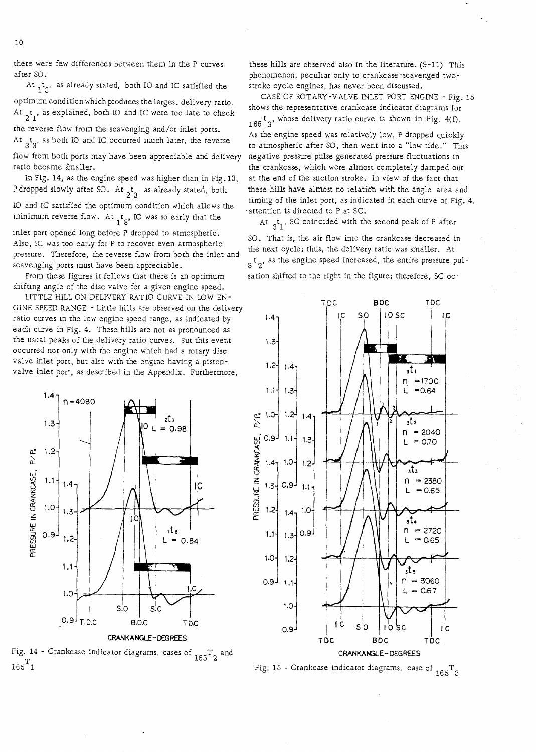there were few differences between them in the P curves after SO.

At  $t_1$ , as already stated, both IO and IC satisfied the

optimum condition which produces the largest delivery ratio. At  $_2$ <sup>t</sup><sub>1</sub>, as explained, both IO and IC were too late to check the reverse flow from the scavenging and/or inlet ports.

At  $_{3}t_{3}$ , as both IO and IC occurred much later, the reverse flow from both ports may have been appreciable and delivery

ratio became sinaller . In Fig. 14, as the engine speed was higher rhan in Fig. 13,

P dropped slowly after SO. At <sub>2</sub>t<sub>3</sub>, as already stated, both I0 and IC satisfied the optimum condition which allows the minimum reverse flow. At  $\frac{t}{18}$ , IO was so early that the

inlet port opened long before P dropped to atmospheric: Also, IC was too early for P to recover even atmospheric pressure. Therefore, the reverse flow from both the inlet and scavenging ports must have been appreciable.

From these figures it.follows that there is an optimum shifting angle of the disc valve for a given engine speed.

LITTLE HlLL ON DELIVERY RATIO CURVE IN LOW EN-GINE SPEED RANGE - Little hills are observed on the delivery ratio curves in the low engine speed range, as indicated by each curve in Fig. 4. These hills are not as pronounced as the usual peaks of the delivery ratio curves. But this event occurred not only with the engine which had a rotary disc valve inlet port, but also with the engine having a pistonvalve inlet port, as described in the Appendix. Furthermore,



**CRANKANGLE-DEGREES** 

Fig. 14 - Crankcase indicator diagrams, cases of  $T_1$  $165$ <sup>T</sup>1

these hills are observed also in the literature. (9-11) This phenomenon, peculiar only to crankcase -scavenged two stroke cycle engines, has never been discussed.

CASE OF ROTARY-VALVE INLET PORT ENGINE - Fig. 15 shows the representative crankcase indicator diagrams for 165<sup>t</sup><sub>3</sub>, whose delivery ratio curve is shown in Fig. 4(f).

As the engine speed was relatively low, P dropped quickly to atmospheric after SO, then went into a "low tide." This negative pressure pulse generated pressure fluctuations in the crankcase, which were almost completely damped out at the end of the suction stroke. In view of the fact that these hills have almost no relatioh with the angle area and timing of the inlet port, as indicated in each curve of Fig. 4, .attention is directed to P at SC.

At  ${}_{3}t_{1}$ , SC coincided with the second peak of P after SO. That is, the air flow into the crankcase decreased in the next cycle; thus, the delivery ratio was smaller. At  $3<sup>t</sup>$  as the engine speed increased, the entire pressure pul-

sation shifted to the right in the figure; therefore, SC oc-



## Fig. 15 - Crankcase indicator diagrams, case of  $T_{\text{eff}}$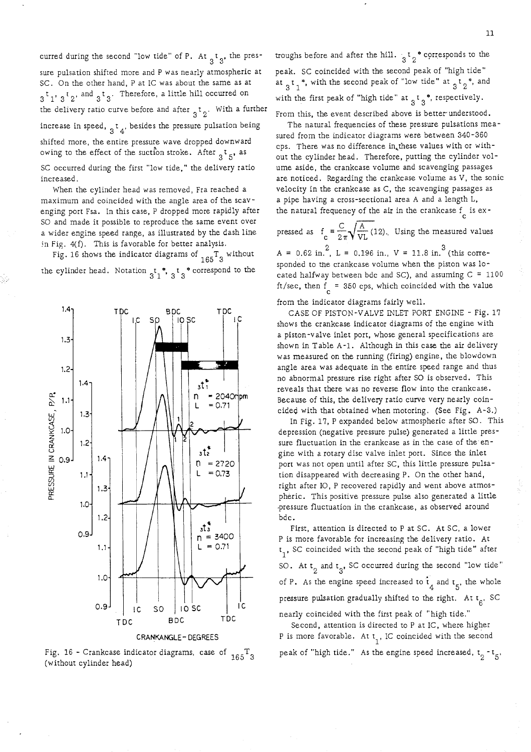curred during the second "low tide" of P. At  $\frac{1}{3}$ , the pressure pulsation shifred more and P was nearly atmospheric at SC. On the orher hand, P at IC was about the same as at  $3<sup>t</sup>$  1'  $3<sup>t</sup>$  2' and  $3<sup>t</sup>$  3' <sup>3</sup> Therefore, a little hill occurred on the delivery ratio curve before and after  $\frac{1}{3}$   $\frac{1}{2}$ . With a further increase in speed,  $\frac{1}{3}$   $\frac{1}{4}$ , besides the pressure pulsation being shifted more, the entire pressure wave dropped downward owing to the effect of the suction stroke. After  $\frac{1}{3}$   $\frac{1}{5}$ , as SC occurred during the first "low tide," the delivery ratio increased.

When the cylinder head was removed, Fra reached a maximum and coincided with the angle area of the scavenging port Fsa. In this case, P dropped more rapidly after SO and made it possible to reproduce the same event over a wider engine speed range, as illustrated by the dash line in Fig. 4(f). This is favorable for better analysis.

Fig. 16 shows the indicator diagrams of  $_{165}T_3$  without the cylinder head. Notation  $t_1^*$ ,  $t_3^*$  correspond to the



Fig. 16 - Crankcase indicator diagrams, case of  $T_{10}$  T,  $($ without cylinder head)  $($ without cylinder head)

troughs before and after the hill.  $\frac{1}{3}$   $\frac{1}{2}$   $\frac{1}{2}$  corresponds to the peak. SC coincided with the second peak of "high tide" at  $t_1^*$ , with the second peak of "low tide" at  $\frac{1}{3}t_2^*$ , and with the first peak of "high tide" at  $_3$ <sup>\*</sup>, respectively. From this, the event described above is better understood.

The natural frequencies of these pressure pulsations measured from the indicator diagrams were between 340-360 cps. There was no difference in these values with or without the cylinder head. Therefore, putting the cylinder volume aside, the crankcase volume and scavenging passages are noticed. Regarding the crankcase volume as V, the sonic velocity in the crankcase as C, the scavenging passages as a pipe having a cross-sectional area A and a length L, the natural frequency of the air in the crankcase  $f_{\alpha}$  is ex-

pressed as  $f_c = \frac{C}{2\pi} \sqrt{\frac{A}{VL}} (12)$ . Using the measured values

 $A = 0.62$  in.<sup>2</sup>, L = 0.196 in., V = 11.8 in.<sup>3</sup> (this corresponded to the crankcase volume when the piston was located halfway between bdc and SC), and assuming  $C = 1100$ ft/sec, then  $f = 350$  cps, which coincided with the value

from the indicator diagrams fairly well.

CASE OF PISTON-VALVE INLET PORT ENGINE - Fig. 17 shows the crankcase indicator diagrams of the engine with a piston-valve inlet port, whose general specifications are shown in Table A-1. Although in this case the air delivery was measured on the running (firing) engine, the blowdown angle area was adequate in the entire speed range and thus no abnormal pressure rise right after SO is observed. This reveals that there was no reverse flow into the crankcase. Because of this, the delivery ratio curve very nearly coincided with that obtained when motoring. (See Fig. A-3.)

In Fig. 17, P expanded below atmospheric after SO. This depression (negative pressure pulse) generated a little pressure fluctuation in the crankcase as in the case of the engine with a rotary disc valve inlet port. Since the inlet port was not open until after SC, this little pressure pulsation disappeared with decreasing P. On the orher hand, right after 10, P recovered rapidly and went above atmospheric. This positive pressure pulse also generated a little -pressure fluctuation in the crankcase, as observed around bdc.

First, attention is directed to P at SC. At SC, a lower P is more favorable for increasing the delivery ratio. At  $t<sub>1</sub>$ , SC coincided with the second peak of "high tide" after SO. At  $t_2$  and  $t_3$ , SC occurred during the second "low tide" of P. As the engine speed increased to  $t_4$  and  $t_5$ , the whole pressure pulsation gradually shifted to the right. At  $t_{\beta}$ , SC nearly coincided with the first peak of "high tide."

Second, attention is directed to P at IC, where higher P is more favorable. At t<sub>1</sub>, IC coincided with the second peak of "high tide." As the engine speed increased,  $t_0 - t_{\overline{5}}$ ,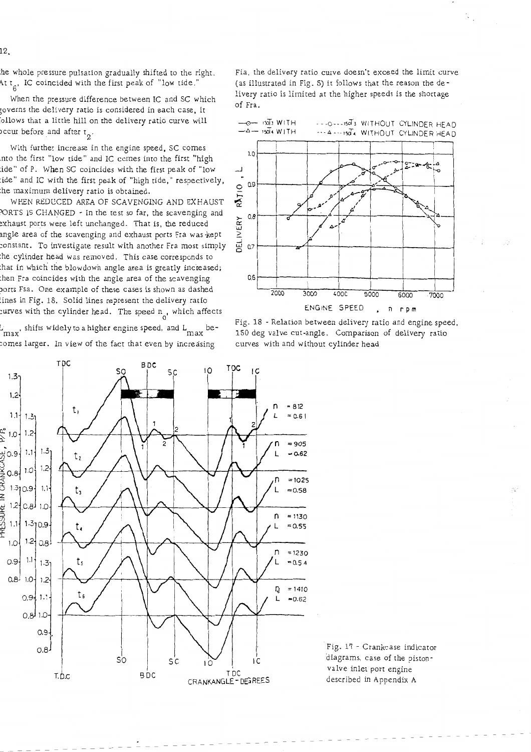$12<sub>1</sub>$ 

the whole pressure pulsation gradually shifted to the right. At  $t_{\beta}$ , IC coincided with the first peak of "low tide."

When the pressure difference between IC and SC which governs the delivery ratio is considered in each case, it follows that a little hill on the delivery ratio curve will ccur before and after  $t_2$ .

With further increase in the engine speed, SC comes into the first "low tide" and IC comes into the first "high tide" of P. When SC coincides with the first peak of "low tide" and IC with the first peak of "high tide," respectively, the maximum delivery ratio is obtained.

WHEN REDUCED AREA OF SCAVENGING AND EXHAUST PORTS IS CHANGED - In the test so far, the scavenging and exhaust ports were left unchanged. That is, the reduced angle area of the scavenging and exhaust ports Fra was-kept constant. To investigate result with another Fra most simply the cylinder head was removed. This case corresponds to that in which the blowdown angle area is greatly incieased; then Fra coincides with the angle area of the scavenging ports Fsa. One example of these cases is shown as dashed lines in Fig. 18. Solid lines represent the delivery ratio curves with the cylinder head. The speed  $n_{\alpha}$ , which affects

 $L_{\rm max}$ , shifts widely to a higher engine speed, and  $L_{\rm max}$  becomes larger. In view of the fact that even by increasing

**TDC BDC TDC**  $\overline{10}$ ΙC  $5c$ SÇ  $1.3 1,2$  $= 812$ t,  $1.1 +$  $1.3 = 0.61$  $1.2 1.0 +$  $= 905$  $\frac{1}{2}0.9$   $\left| \begin{array}{c} 1.1 \\ 1.1 \end{array} \right|$  $1.3$  $-0.62$ t,  $1.2$  $0.8$ <sup>1.0</sup> CRANK  $= 1025$ n  $1.310.9$  $1.1$  $= 0.58$ t,  $12[0.8]$ SURE  $1.0$ n  $= 1130$  $1.1$ |  $1.3$ <sub>10.9</sub> ŭ<br>∰  $= 0.55$ t, L  $1.2$  $1.0$  $0.8$ n  $= 1230$  $1.11$ t,  $0.9 +$  $= 0.54$  $1.31$  $0.8^{1}$  $1.0 +$  $1.2$ IJ  $= 1410$ t.  $0.9\frac{1}{3}$  $1.1$ L  $= 0.62$ لع.ه  $1.0$  $0.9 0.8$ SO łС  $\sim$   $\sim$   $\sim$   $\sim$ BDC T DC CRANKANGLE- DEGREES T.D.C

Fia, the delivery ratio curve doesn't exceed the limit curve (as illustrated in Fig. 5) it follows that the reason the delivery ratio is limited at the higher speeds is the shortage of Fra.



Fig. 18 - Relation between delivery ratio and engine speed, 150 deg valve cut-angle. Comparison of delivery' ratio curves with and without cylinder head

Fig. **17** - Crankcase indicator diagrams, case of the pistonvalve inlet port engine described in Appendix A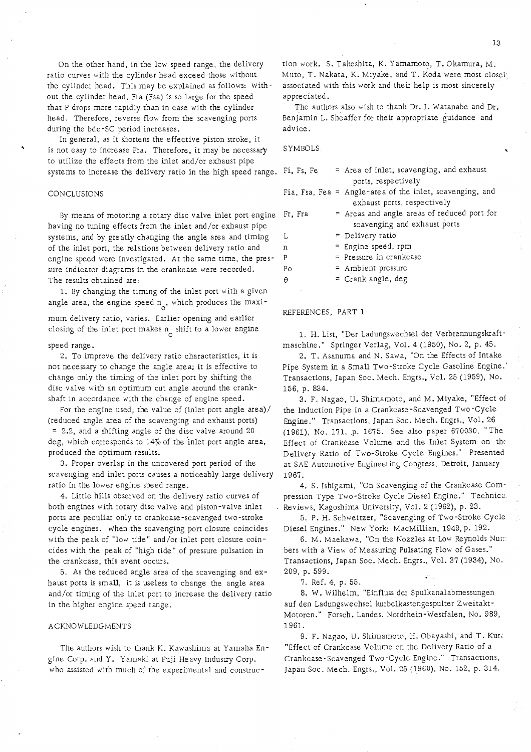On the other hand, in the low speed range, the delivery ratio curves with rhe cylinder head exceed those without the cylinder head. This may be explained as follows: Without the cylinder head, Fra (Fsa) is so large for the speed that P drops more rapidly than in case with the cylinder head. Therefore, reverse flow from the scavenging ports during the bdc-SC period increases.

In general, as it shortens the effective piston srroke, it is not easy to increase Fra. Therefore, it may be necessary to urilize rhe effects from the inlet and/or exhaust pipe systems to increase the delivery rario in the high speed range.

#### CONCLUSIONS

6y means of motoring a rotary disc valve inlet port engine having no tuning effects from the inler and/or exhaust pipe systems, and by greatly changing the angle area and riming of the inlet port, the relations between delivery rario and engine speed were investigared. At the same time, the pressure indicator diagrams in the crankcase were recorded. The results obtained are:

1. By changing the timing of the inlet port with a given angle area, the engine speed  $n_a$ , which produces the maxi-

mum delivery ratio, varies. Earlier opening and earlier closing of the inlet port makes  $n_{\alpha}$  shift to a lower engine

#### speed range.

2. To improve the delivery ratio characterisrics, it is not necessary to change the angle area; it is effecrive to change only the timing of the inlet port by shifring the disc valve with an optimum cut angle around the crankshaft in accordance with rhe change of engine speed.

For the engine used, the value of (inlet port angle area)/ (reduced angle area of the scavenging and exhaust ports) = 2.2, and a shifting angle of the disc valve around 20 deg, which corresponds to  $14\%$  of the inlet port angle area, produced the optimum results.

3. Proper overlap in the uncovered port period of the scavenging and inlet ports causes a noticeably large delivery ratio in the lower engine speed range.

4. Little hills observed on the delivery ratio curves of both engines with rotary disc valve and piston-valve inler ports are peculiar only to crankcase-scavenged two-stroke cycle engines. When the scavenging port closure coincides with the peak of "low ride" and/or inlet porr closure coincides with the peak of "high tide" of pressure pulsation in the crankcase, this event occurs.

5. As the reduced angle area of the scavenging and exhaust ports is small, it is useless to change the angle area and/or timing of the inlet port to increase the delivery ratio in the higher engine speed range.

#### ACKNOWLEDGMENTS

The authors wish to thank K. Kawashima at Yamaha Engine Corp. and Y. Yamaki at Fuji Heavy Industry Corp. who assisted with much of the experimental and construc-

tion work. S. Takeshita, K. Yamamoto, T. Okamura, M. Muto, T. Nakata, K. Miyake, and T. Koda were most closel, associated with rhis work and their help is mosr sincerely appreciated.

The authors also wish to thank Dr. I. Watanabe and Dr. Benjamin L. Sheaffer for their appropriate guidance and advice.

#### SYMBOLS

| Fi, Fs, Fe  | $\approx$ Area of inlet, scavenging, and exhaust         |
|-------------|----------------------------------------------------------|
|             | ports, respectively                                      |
|             | Fia, Fsa, Fea = Angle-area of the inlet, scavenging, and |
|             | exhaust ports, respectively                              |
| Fr. Fra     | = Areas and angle areas of reduced port for              |
|             | scavenging and exhaust ports                             |
| L           | $=$ Delivery ratio                                       |
| $\mathbf n$ | $=$ Engine speed, rpm                                    |
| P           | $=$ Pressure in crankcase                                |
| Po          | = Ambient pressure                                       |
| $\theta$    | = Crank angle, deg                                       |
|             |                                                          |

#### REFERENCES, PART 1

1. H. List, "Uer Ladungswechsel der Verbrennungskraftmaschine." Springer Verlag, Vol. 4 (1950), No. 2, p. 45.

2. T. Asanuma and N. Sawa, "On rhe Effecrs of Intake Pipe System in a Small Two-Stroke Cycle Gasoline Engine.' Transactions, Japan Soc. Mech. Engrs., Vol. 25 (1959), No. 156, p. 834.

3. F. Nagao, U. Shimamoto, and M. Miyake, "Effect oi the Induction Pipe in a Crankcase-Scavenged Two-Cycle Engine." Transacrions, Japan Soc. Mech. Engrs., Vol. 26 (1961), No. 171, p. 1675. See also paper 670030, "The Effect of Crankcase Volume and the Inlet System on the Delivery Ratio of Two-Srroke Cycle Engines." Presenred at SAE Auromotive Engineering Congress, Detroit, January 1967.

4. S. Ishigami, "On Scavenging of the Crankcase Compression Type Two-Stroke Cycle Diesel Engine." Technica Reviews, Kagoshima University, Vol. 2 (1962), p. 23.

5. P. H. Schweitzer, "Scavenging of Two-Srroke Cycle Diesel Engines." New York: MacMillian, 1949, p. 192.

6. M. Maekawa, "On the Nozzles at Low Reynolds Num bers with a View of Measuring Pulsating Flow of Gases." Transactions, Japan Soc. Mech. Engrs., Vol. 37 (1934), No. 209, p. 599.

7. Ref. 4, p. 55.

8. W. Wilhelm, "Einfluss der Spulkanalabmessungen auf den Ladungswechsel kurbelkastengespulter Zweitakt-Motoren." Forsch. Landes. Nordrhein-Westfalen, No. 989, 1961.

9. F. Nagao, U. Shimamoto, H. Obayashi, and T. Kur: "Effect of Crankcase Volume on the Delivery Ratio of a Crankcase-Scavenged Two-Cycle Engine." Transactions, Japan Soc. Mech. Engrs., Vol. 25 (1960). No. 152, p. 314.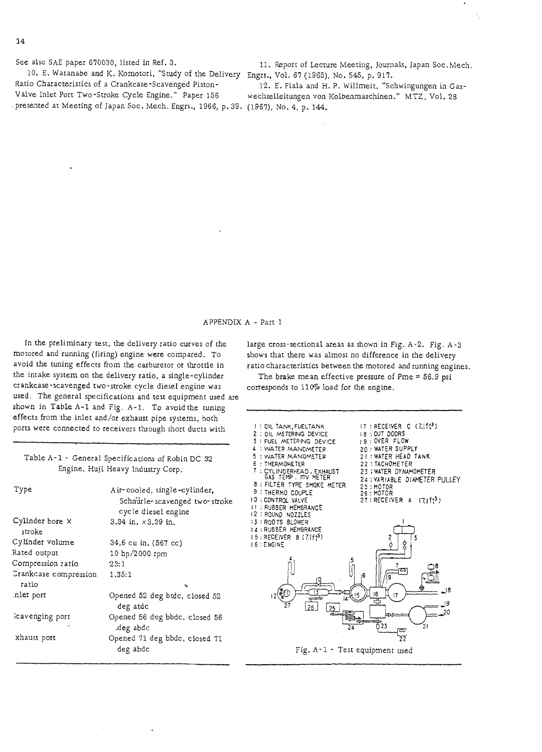10. E. Watanabe and K. Komotori, "Study of the Delivery Engrs., Vol. 67 (1965). No. 545, p. 917. Ratio Characteristics of a Crankcase-Scavenged Piston- 12. E. Fiala and H. P. Willmeit, "Schwingungen in Gas-<br>Valve Inlet Port Two-Stroke Cycle Engine." Paper 156 wechselleitungen von Kolbenmaschinen." MTZ. Vol. 28 . presented at Meeting of Japan Soc. Mech. Engrs., 1966, p. 39. (1967), No. **4,** p. 144.

See also SAE paper 670030, listed in Ref. 3. 11. Report of Lecture Meeting, Journals, Japan Soc.Mech.

wechselleitungen von Kolbenmaschinen." MTZ, Vol. 28

#### APPENDIX A - Part 1

In the preliminary test, the delivery ratio curves of the motored and running (firing) engine were compared. To avoid the tuning effects from the carburetor or throttle in the intake system on the delivery ratio, a single-cylinder cr ankcase-scavenged two -stroke cycle diesel engine was used. The general specifications and test equipment used are shown in Table A-1 and Fig. A-1. To avoid the tuning effects from the inlet and/or exhaust pipe systems, both ports were connected to receivers through short ducts with

> 23:l 1.35: 1

> > deg atdc

.deg abdc

deg abdc

Cylinder bore **x**  stroke Cylinder volume Rated output Compression ratio Crankcase compression

ratio :nler port

Type

kavenging port

xhaust port

large cross-sectional areas as shown in Fig. A-2. Fig. A-3 shows that there was almost no difference in the delivery ratio characteristics between the motored and running engines. The brake mean effective pressure of Pme  $= 56.9$  psi

corresponds to 110% load for the engine

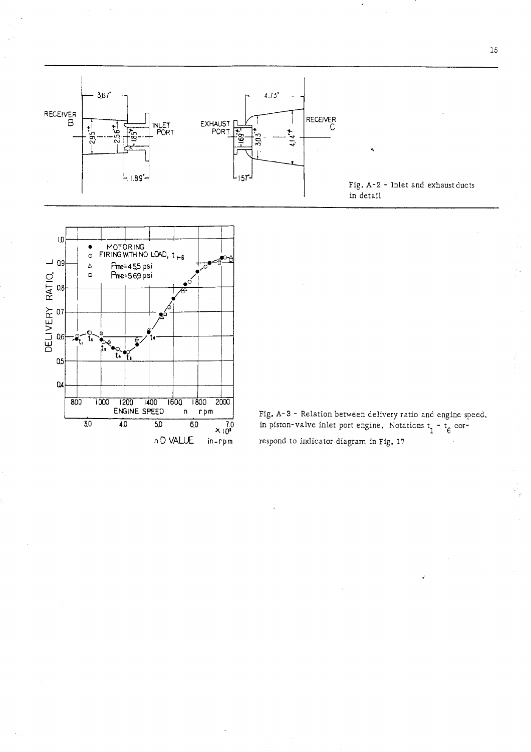



Fig. A-3 - Relation between delivery ratio and engine speed, 7.0 in piston-valve inlet port engine. Notations  $t_1 - t_6$  cor-

15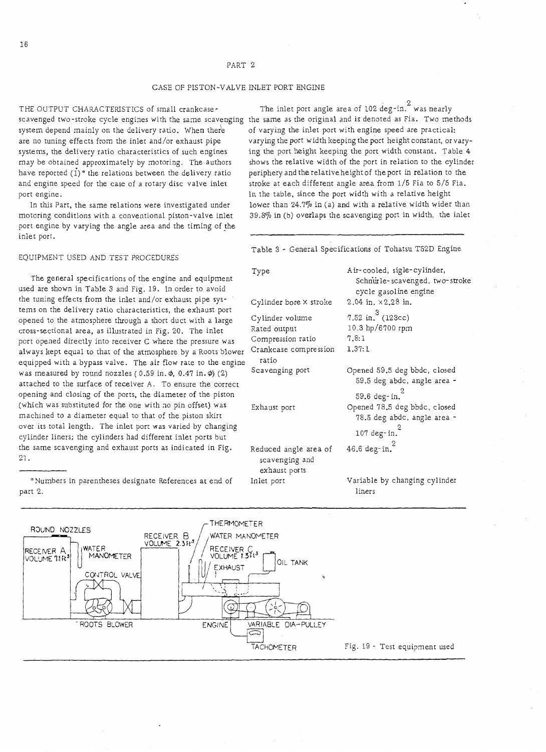#### CASE OF PISTON-VALVE INLET PORT ENGINE

system depend mainly on the delivery ratio. When there are no tuning effects from the inlet and/or exhaust pipe systems, the delivery ratio characteristics of such engines may be obtained approximately by motoring. The authors have reported  $(1)$ <sup>\*</sup> the relations between the delivery ratio and engine speed for the case of a rotary disc valve inlet port engine.

In this Part, the same relations were investigated under motoring conditions with a conventional piston-valve inlet port engine by varying the angle area and the timing of the inlet port.

EQUIPMENT USED AND TEST PROCEDURES

The general specifications of the engine and equipment used are shown in Table 3 and Fig. 19. In order to avoid the tuning effects from the inlet and/or exhaust pipe systems on the delivery ratio characteristics, the exhaust port opened to the atmosphere through a short duct with a large cross-sectional area, as illustrated in Fig. 20. The inlet port opened directly into receiver C where the pressure was always kept equal to that of the atmosphere by a Roots blower equipped with a bypass valve. The air flow rare to the engine was measured by round nozzles (  $0.59$  in.  $\phi$ ,  $0.47$  in.  $\phi$ ) (2) attached to the surface of receiver A. To ensure the correct opening and closing of the ports, the diameter of the piston (which was substituted for the one with no pin offset) was machined to a diameter equal to that of the piston skirt over its total length. The inlet port was varied by changing cylinder liners; the cylinders had different inlet ports but the same scavenging and exhaust ports as indicated in Fig.  $21.$ 21.  $\sim$  21.

\*Numbers in parentheses designate References at end of part 2.

THE OUTPUT CHARACTERISTICS of small crankcase-  $\hskip1cm$  The inlet port angle area of 102 deg-in.  $^2$  was nearly scavenged two-stroke cycle engines with the same scavenging the same as the original and is denoted as Fia. Two methods of varying the inlet port with engine speed are practical: varying the port width keeping the port height constant, or varying the port height keeping the port width constant. Table 4 shows the relative width of the port in relation to the cylinder periphery and the relativeheight of the port in relation to the stroke at each different angle area from 1/5 Fia to 5/5 Fia. In the table, since the port width with a relative height lower than  $24.7\%$  in (a) and with a relative width wider than 39.870 in (b) overlaps the scavenging port in width, the inlet

Table 3 - General Specifications of Tohatsu T52D Engine

| Type                                    | Air-cooled, sigle-cylinder,<br>Schnurle-scavenged, two-stroke |
|-----------------------------------------|---------------------------------------------------------------|
|                                         | cycle gasoline engine                                         |
| Cylinder bore $\times$ stroke           | $2.04$ in. $\times 2.28$ in.                                  |
| Cylinder volume                         | 7.52 in. $3(123cc)$                                           |
| Rated output                            | 10.3 hp/6700 rpm                                              |
| Compression ratio                       | 7.8:1                                                         |
| Crankcase compression<br>ratio          | 1.37:1                                                        |
| Scavenging port                         | Opened 59.5 deg bbdc, closed<br>59.5 deg abdc, angle area -   |
|                                         | 59.6 deg-in. $^{2}$                                           |
| Exhaust port                            | Opened 78.5 deg bbdc, closed                                  |
|                                         | 78.5 deg abdc, angle area -                                   |
|                                         | 107 deg-in. $^{2}$                                            |
| Reduced angle area of<br>scavenging and | 46.6 deg-in. $^{2}$                                           |
| exhaust ports                           |                                                               |
| Inlet port                              | Variable by changing cylinder<br>liners                       |

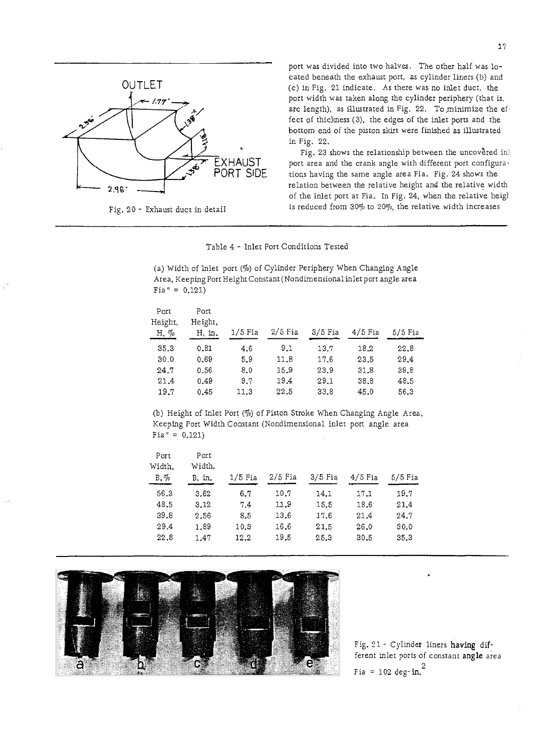

Fig. 20 - Exhaust ducr in detail

ď.

port was divided into two halves. The other half was located beneath rhe exhaust porr, as cylinder liners (b) and (c) in Fig. 21 indicate. As rhere was no inlet duct, rhe port widrh was taken along the cylinder periphery (thar is, arc length), as illustrated in Fig. 22. To minimize the effect of thickness (3), the edges of the inlet porrs and rhe bottom end of the piston skirr were finished as illustrated in Fig. 22.

in Fig. 22.<br>
Fig. 23 shows the relationship between the uncovered in<br>
POPT SIDE port area and the crank angle with different port configura-<br>
POPT SIDE Fig. 23 shows the relationship between the uncovered in! rions having the same angle area Fia. Fig. 24 shows rhe relation between the relative height and the relative widrh of the inlet port ar Fia. In Fig. 24, when the relative heigl is reduced from  $30\%$  to  $20\%$ , the relative width increases

Table 4 - Inlet Porr Conditions Tested

| Fia* = $0.121$ )           |                           |           | (a) Width of Inlet port (%) of Cylinder Periphery When Changing Angle<br>Area, Keeping Port Height Constant (Nondimensional inlet port angle area |           |           |         |
|----------------------------|---------------------------|-----------|---------------------------------------------------------------------------------------------------------------------------------------------------|-----------|-----------|---------|
| Port<br>Height,<br>H, $\%$ | Port<br>Height,<br>H, in. | $1/5$ Fia | $2/5$ Fia                                                                                                                                         | $3/5$ Fia | $4/5$ Fia | 5/5 Fia |
| 35.3                       | 0.81                      | 4.6       | 9.1                                                                                                                                               | 13.7      | 18.2      | 22.8    |
| 30.0                       | 0.69                      | 5.9       | 11.8                                                                                                                                              | 17.6      | 23.5      | 29.4    |
| 24.7                       | 0.56                      | 8.0       | 15.9                                                                                                                                              | 23.9      | 31.8      | 39.8    |
| 21.4                       | 0.49                      | 9.7       | 19.4                                                                                                                                              | 29.1      | 38.8      | 48.5    |
| 19.7                       | 0.45                      | 11.3      | 22.5                                                                                                                                              | 33.8      | 45.0      | 56.3    |

| Port<br>Port<br>Width,<br>$2/5$ Fia<br>$B, \%$<br>3/5 Fia<br>$4/5$ Fia<br>$1/5$ Fia<br>$5/5$ Fia<br>B, in.<br>56.3<br>19.7<br>3.62<br>6.7<br>10.7<br>14.1<br>17.1<br>11.9<br>48.5<br>3.12<br>15.5<br>18.6<br>21.4<br>7.4<br>39.8<br>13.6<br>8.5<br>24.7<br>2.56<br>17.6<br>21.4<br>1.89<br>16.6<br>29.4<br>26.0<br>21.5<br>30.0<br>10.3<br>19.5<br>25.3<br>35.3<br>22.8<br>1,47<br>12.2<br>30.5 | Fia* = $0.121$ ) |  |  | (b) Height of Inlet Port $(\%)$ of Piston Stroke When Changing Angle Area,<br>Keeping Port Width Constant (Nondimensional inlet port angle area |  |
|-------------------------------------------------------------------------------------------------------------------------------------------------------------------------------------------------------------------------------------------------------------------------------------------------------------------------------------------------------------------------------------------------|------------------|--|--|-------------------------------------------------------------------------------------------------------------------------------------------------|--|
|                                                                                                                                                                                                                                                                                                                                                                                                 | Width.           |  |  |                                                                                                                                                 |  |
|                                                                                                                                                                                                                                                                                                                                                                                                 |                  |  |  |                                                                                                                                                 |  |
|                                                                                                                                                                                                                                                                                                                                                                                                 |                  |  |  |                                                                                                                                                 |  |
|                                                                                                                                                                                                                                                                                                                                                                                                 |                  |  |  |                                                                                                                                                 |  |
|                                                                                                                                                                                                                                                                                                                                                                                                 |                  |  |  |                                                                                                                                                 |  |
|                                                                                                                                                                                                                                                                                                                                                                                                 |                  |  |  |                                                                                                                                                 |  |



Fig. 21 - Cyllnder liners having different inlet ports of constant angle area Fia = 102 deg-in. $^{2}$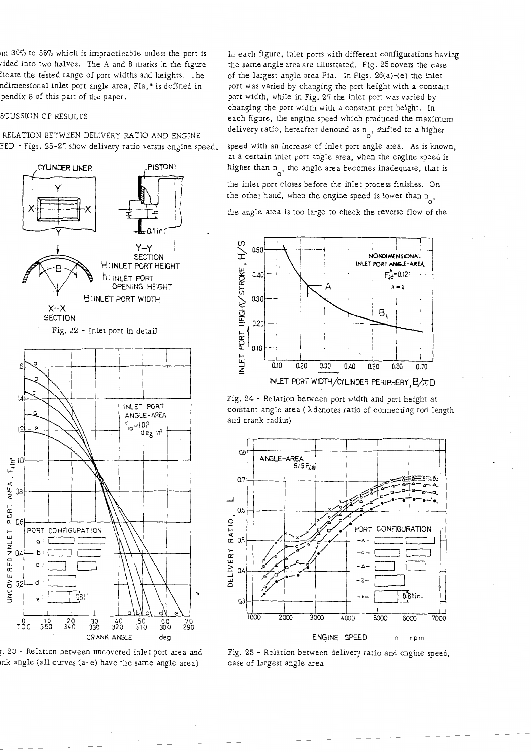$m$  30% to 56% which is impracticable unless the port is ided into two halves. The A and B marks in the figure licate the tested range of port widths and heights. The ndimensional inlet port angle area, Fia, \* is defined in pendix B of this part of the paper.

## )ISCUSSION OF RESULTS

RELATION BETWEEN DELIVERY RATIO AND ENGINE EED - Figs. 25-27 show delivery ratio versus engine speed.



;. 23 - Relation between uncovered inlet port area and mk angle (a11 curves (a- *e)* have the same angle area)

In each figure, inlet ports with different configurations having the same angle area are illustrated. Fig. 25 covers the case of the largest angle area Fia. In Figs. 26(a)-(e) the inlet port was varied by changing the port height with a constant port width, while in Fig. 27 the inlet port was varied by changing the port width with a constant port height. In each figure, the engine speed which produced the maximum delivery ratio, hereafter denoted as  $n_A$ , shifted to a higher

speed with an increase of inlet port angle area. As is known, at a certain inlet port angle area, when the engine speed is iigher than  $n_{\text{o}}$ , the angle area becomes inadequate, that is

the inlet port closes before the inlet process finishes. On he other hand, when the engine speed is lower than  $n_{0}$ ,

the angle area is too large to check the reverse flow of the



Fig. 24 - Relation between port width and port height at constant angle area ( Xdenotes ratio.of connecting rod length and crank radius)



Fig. 25 - Relation between delivery ratio and engine speed, case of largest angle area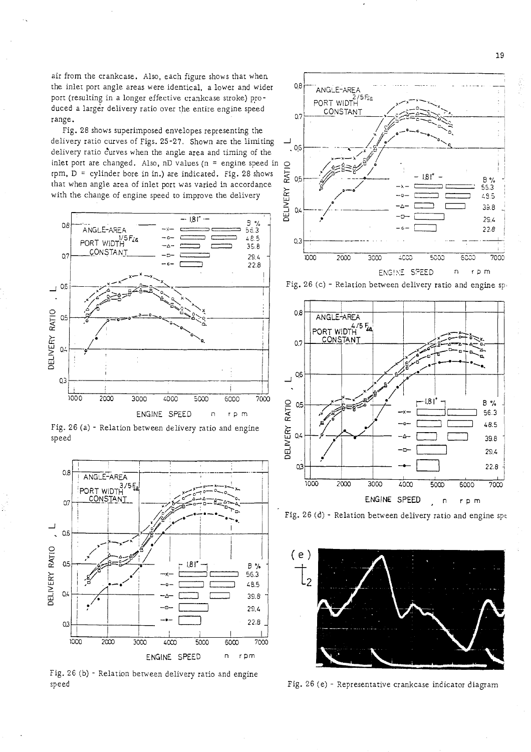air from the crankcase. Also, each figure shows that when the inlet port angle areas were identical, a lower and wider  $0.8\text{ mGLE-ARE}$ port (resulting in a longer effective crankcase stroke) pro-  $\bigg\{$  PORT WIDTH duced a larger delivery ratio over the entire engine speed  $\begin{array}{c} 0.1 \text{ NUN} \\ 0.2 \text{ NUN} \end{array}$ 

Fig. 28 shows superimposed envelopes representing the delivery ratio curves of Figs. 25-27. Shown are the limiting  $\frac{1}{2}$  100 delivery ratio curves when the angle area and timing of the inlet port are changed. Also, nD values (n = engine speed in  $\Omega$  rpm, D = cylinder bore in in.) are indicated. Fig. 28 shows that when angle area of inlet port was varied in accordance rpm,  $D =$  cylinder bore in in.) are indicated. Fig. 28 shows that when angle area of inlet port was varied in accordance with the change of engine speed to improve the delivery



Fig. 26 (a) - Relation between delivery ratio and engine speed



Fig. 26 (b) - Relation between delivery ratio and engine speed



Fig. 26 (c) - Relation between delivery ratio and engine sp.



Fig. 26 (d) - Relation between delivery ratio and engine spe



Fig. 26 (e) - Representative crankcase indicator diagram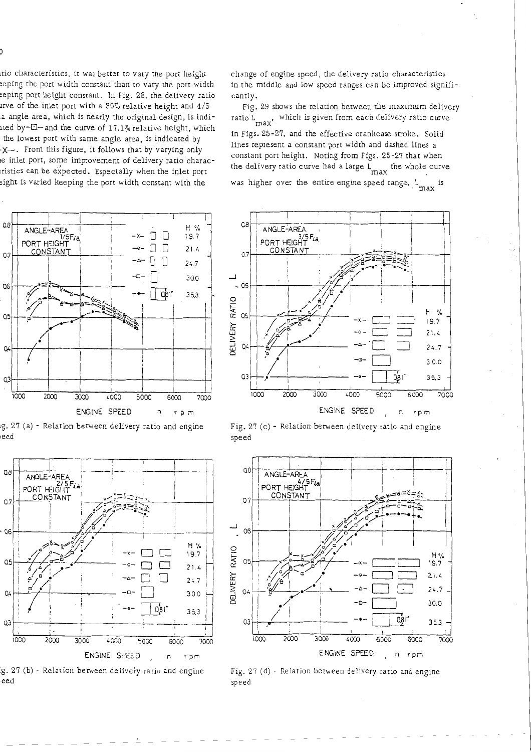tio characteristics, it was better to vary the port height eeping the port width constant than to vary the port width ieeping port height constant. In Fig. 28, the delivery ratio irve of the inlet port with a  $30\%$  relative height and  $4/5$ a angle area, which is nearly the original design, is indiated by- $\Box$  - and the curve of 17.1% relative height, which the lowest port with same angle area, is indicated by X-. From this figure, it follows that by varying only e inlet port, some improvement of delivery ratio characristics can be expected. Especially when the inlet port eight is varied keeping the port width constant with the

 $\begin{array}{c}\n\overline{\text{ANGLE-area}} \\
\overline{\text{ANGLE-area}} \\
\overline{\text{1/5}} \\
\overline{\text{200}} \\
\overline{\text{1/1}} \\
\overline{\text{200}} \\
\overline{\text{1/1}} \\
\overline{\text{200}} \\
\overline{\text{200}} \\
\overline{\text{2000}} \\
\overline{\text{2000}} \\
\overline{\text{2000}} \\
\overline{\text{20000}} \\
\overline{\text{20000}} \\
\overline{\text{20000}} \\
\overline{\text{200000000000000000000000000000$  $\Omega$  $H \gamma$  $19.7$ C PORT HEIGHT  $\Box$  $21.4$ CONSTANT  $O.7$ П  $24.7$ 30.0 QG QЪ 35,3 Q5 Q. Q3  $1000$ 2000 3000 4000 5000 6000 7000 ENGINE SPEED n rpm

g. 27 (a) - Relation between delivery ratio and engine eed

 $Q\theta$ ANGLE-AREA PORT HEIGHT CONSTANT  $O.7$  $Q6$ H %  $19.7$  $Q<sub>5</sub>$  $21.4$  $24.7$  $Q$  $30.0$  $0.8$  $35.3$ QЗ 1000  $2000$ ENGINE SPEED , n rpm

g. 27 (b) - Relation between delivery ratio and engine eed

change of engine speed, the delivery ratio characteristics in the middle and low speed ranges can be improved significantly.

Fig. 29 shows the relation between the maximum delivery ratio L which is given from each delivery ratio curve

in Figs. 25-27, and the effective crankcase stroke. Solid lines represent a constant port width and dashed lines a constant port height. Noting from Figs. 25-27 that when the delivery ratio curve had a large  $L_{\text{max}}$  the whole curve

was higher over the entire engine speed range,  $L_{\text{max}}$  is







Fig. 27 (d) - Relation between delivery ratio and engine speed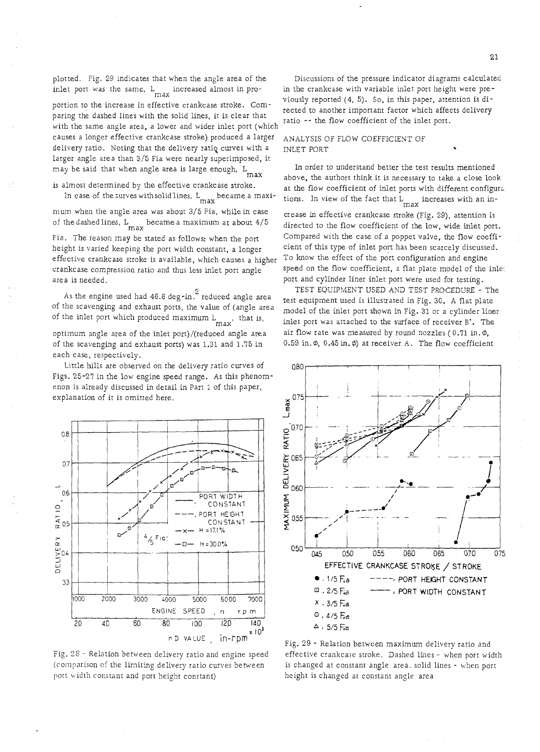plotted. Fig. 29 indicates that when the angle area of the Discussions of the pressure indicator diagrams calculated<br>inlet port was the same, L increased almost in pro- in the crankcase with variable inlet port height were

portion to the increase in effective crankcase stoke. Come exceed to another important factor which affects delivery<br>with the same angle area, a lower and wider inlet port (which  $\frac{1}{2}$  area) and wider inlet port (which causes a longer effective crankcase stroke) produced a larger ANALYSIS OF FLOW COEFFICIENT OF delivery ratio. Noting that the delivery ratiq curves with a INLET PORT larger angle area than 3/5 Fia were nearly superimposed, it

In case of the surves with solid lines,  $L_{\text{max}}$  became a maxi-<br>max ions. In view of the fact that  $L_{\text{max}}$  increases with an in-<br>mum when the angle area was about 3/5 Fia, while in case<br>crease in effective crankcase st of the dashed lines,  $L_{\text{max}}$  became a maximum at about 4/5

height is varied keeping the port width constant, a longer cient of this type of inlet port has been scarcely discusse<br>effective crankcase stroke is available, which causes a higher To know the effect of the port configura effective crankcase stroke is available, which causes a higher To know the effect of the port configuration and engine<br>crankcase compression ratio and thus less inlet port angle speed on the flow coefficient, a flat plate crankcase compression ratio and thus less inlet port angle area is needed. **part and cylinder liner inlet port were used for testing.** 

of the inlet port which produced maximum  $L_{\text{max}}$ , that is, optimum angle area of the inlet port)/(reduced angle area air flow rate was measured by round nozzles (0.71 in.  $\phi$ , of the scavenging and exhaust ports) was 1.31 and 1.75 in  $0.59$  in.  $\phi$ , 0.45 in.  $\phi$ ) at receiver A. The flow coefficient

Little hills are observed on the delivery ratio curves of 0.80 Figs. 25-27 in the low engine speed range. As this phenomenon is already discussed in detail in Part 1 of this paper, explanation of it is omitted here.  $\sqrt{0.75}$ 

each case, respectively.



(comparison of the limiting delivery ratio curves between is changed at consranr angle area. solid lines - when porr port width constant and port height constant) height is changed at constant angle area

inlet port was the same, L increased almost in pro- in the crankcase with variable inlet port height were pre-<br>portion to the increase in effective crankcase stroke. Com-<br>in the viously reported (4, 5). So, in this paper,

may be said that when angle area is large enough,  $L_{\text{max}}$  In order to understand better the test results mentioned above, the authors think it is necessary to take a close look is almost determined by the effective crankcase stroke.<br>In case of the surves with solid lines,  $L_{max}$  became a maxi-<br>max inview of the fact that  $L_{max}$  increases with an in-

directed to the flow coefficient of the low, wide inlet port.<br>Compared with the case of a poppet valve, the flow coeffi-Fia. The reason may be stated as follows: when the port Compared with the case of a poppet valve, the flow coeffi<br>height is varied keeping the port width constant a longer cient of this type of inlet port has been scarcely

TEST EQUIPMENT USED AND TEST PROCEDURE - The As the engine used had 46.6 deg-in.<sup>2</sup> reduced angle area IEST EQUIPMENT USED AND TEST PROCEDURE - The rest equipment used is illustrated in Fig. 30. A flat plate of the scavenging and exhaust ports, the value of (angle ar inlet port was attached to the surface of receiver B'. The



n D VALUE ,  $in-rpm$ <sup>29</sup> - Relation between maximum delivery ratio and Fig. 28 - Relation between delivery ratio and engine speed effective crankcase stroke. Dashed lines - when port width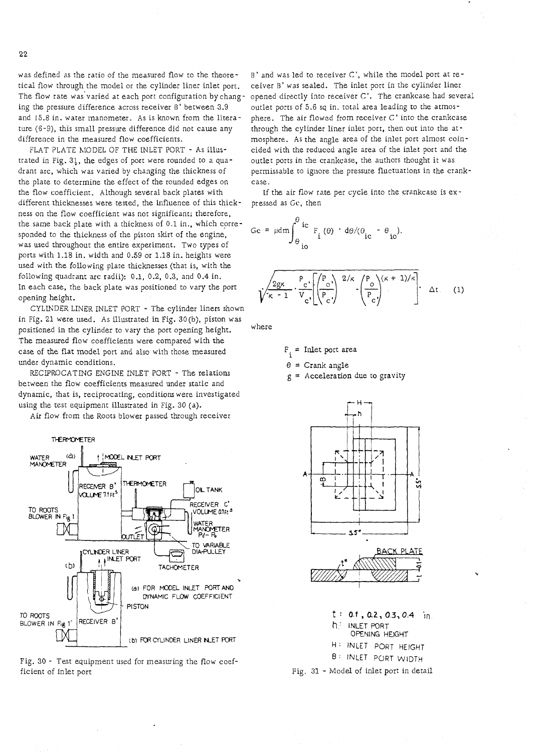was defined as the ratio of the measured flow to the theoretical flow through the model or the cylinder liner inlet porl. The flow rate was'varied at each port configuration bychanging the pressure difference across receiver B' between 3.9 and 15.8 in. water manometer. As is known from the literature (6-9), this small pressure difference did not cause any difference in the measured flow coefficients.

FLAT PLATE MODEL OF THE INLET PORT - As illustrated in Fig.  $31$ , the edges of port were rounded to a quadrant arc, which was varied by changing the thickness of the plate to determine the effect of the rounded edges on the flow coefficient. Although several back plates with different thicknesses were tested, the influence of this thickness on the flow coefficient was not significant; therefore, the same back plate with a thickness of 0.1 in., which corresponded to the thickness of the piston skirt of the engine, was used throughout the entire experiment. Two types of ports with 1.18 in. width and 0.59 or 1.18 in. heights were used with the following plate thicknesses (that is, with the following quadrant arc radii): 0.1, 0.2, 0.3, and 0.4 in. In each case, the back plate was positioned to vary the port opening height.

CYLINDER LINER INLET PORT - The cylinder liners shown in Fig. 21 were used. As illustrated in Fig. 30(b), piston was positioned in the cylinder to vary the port opening height. The measured flow coefficients were compared with the case of the flat model port and also with those measured under dynamic conditions.

RECIPROCATING ENGINE INLET PORT - The relations between the flow coefficients measured under static and dynamic, that is, reciprocating, conditions were investigated using the test equipment illustrated in Fig. 30 (a).

Air flow from the Roots blower passed through receiver



Fig, 30 - Test equipment used for measuring the flow coefficient of inlet port

B' and was led to receiver C', while the model port at receiver B' was sealed. The inlet port in the cylinder liner opened directly into receiver C'. The crankcase had several outlet ports of *5.6* sq in. total area leading to the atmosphere. The air flowed from receiver C' into the crankcase through the cylinder liner inlet port, then out into the atmosphere. As the angle area of the inlet port almost coincided with the reduced angle area of the inlet port and the outlet ports in the crankcase, the authors thought it was permissable to ignore the pressure fluctuations in the crankcase.

If the air flow rate per cycle into the crankcase is expressed as Gc, then

$$
Gc = \mu dm \int_{\theta_{\text{io}}}^{\theta_{\text{ic}}} F_{i}(\theta) \cdot d\theta / (0_{\text{ic}} - \theta_{\text{io}}).
$$
\n
$$
\sqrt{\frac{2g\kappa}{\kappa - 1} \cdot \frac{P_{c}}{V_{c}} \left[ \left( \frac{P_{o}}{P_{c}} \right)^{2/\kappa} - \left( \frac{P_{o}}{P_{c}} \right)^{(\kappa + 1)/\kappa} \right]} \cdot \Delta t. \quad (1)
$$

where

 $F_i$  = Inlet port area

 $\theta$  = Crank angle

 $g =$  Acceleration due to gravity



 $t : 0.1, 0.2, 0.3, 0.4$  in h : INLET PORT

OPENING HEIGHT

H : INLET PORT HEIGHT

B: INLET PORT WIDTH

Fig. **31** - Model of inlet port in detail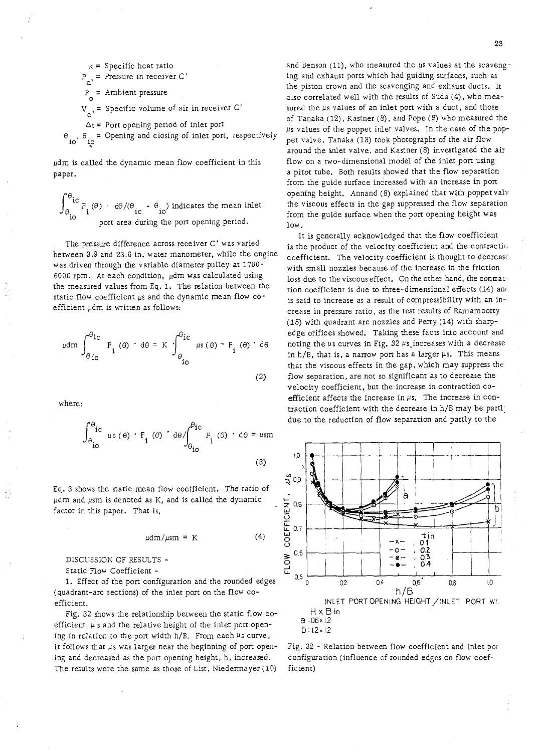$\kappa$  = Specific heat ratio  $P_{\text{c}}$  = Pressure in receiver C'  $\, {\bf p}$  $P_{0}$  = Ambient pressure  $V_{\text{S}}$  = Specific volume of air in receiver C'  $\Delta t$  = Port opening period of inlet port  $\theta_{io}$ ,  $\theta_{ic}$  = Opening and closing of inlet port, respectively

 $\mu$ dm is called the dynamic mean flow coefficient in this paper.

 $\frac{1}{\pi}F_i(\theta) \cdot d\theta/(\theta_i - \theta_i)$  indicates the mean inlet port area during the port opening period.

The pressure difference across receiver C' was varied between 3.9 and 23.6 in. water manometer, while the engine was driven through the variable diameter pulley at 1700- 6000 rpm. At each condition,  $\mu$ dm was calculated using the measured values from Eq. 1. The relation between the static flow coefficient  $\mu s$  and the dynamic mean flow coefficient  $\mu$ dm is written as follows:

$$
\mu dm \int_{\theta_{\text{io}}}^{\theta_{\text{ic}}} F_i(\theta) \cdot d\theta = K \int_{\theta_{\text{io}}}^{\theta_{\text{ic}}} \mu s(\theta) \cdot F_i(\theta) \cdot d\theta
$$
\n(2)

where:

$$
\int_{\theta_{\text{io}}}^{\theta_{\text{ic}}} \mu s(\theta) \cdot F_{\text{i}}(\theta) \cdot d\theta / \int_{\theta_{\text{io}}}^{\theta_{\text{ic}}} F_{\text{i}}(\theta) \cdot d\theta = \mu s m
$$
\n(3)

Eq. 3 shows the static mean flow coefficient. The ratio of µdm and µsm is denoted as K, and is called the dynamic factor in this paper. That is,

$$
\mu dm/\mu s m = K \tag{4}
$$

DISCUSSION OF RESULTS -

Static Flow Coefficient -

1. Effect of the port configuration and the rounded edges (quadrant-arc sections) of the inlet port on the flow coefficient.

Fig. 32 shows the relationship between the static flow coefficient  $\mu$  s and the relative height of the inlet port opening in relation to the port width  $h/B$ . From each  $\mu s$  curve, it follows that  $\mu$ s was larger near the beginning of port opening and decreased as the pon opening height, h, increased. The results were the same as those of List, Niedermayer (10) ficient)

and Benson (11), who measured the µs values at the scavenging and exhaust ports which had guiding surfaces, such as the piston crown and the scavenging and exhaust ducts. 11 also correlated well with the results of Suda (4), who measured the  $\mu$ s values of an inlet port with a duct, and those of Tanaka (12), Kastner (8), and Pope (9) who measured the ps values of the poppet inlet valves. In the case of the poppet valve, Tanaka (13) took photographs of the air flow around the inlet valve, and Kastner (8) investigated the air flow on a two-dimensional model of the inlet port using a pitot tube. Both results showed that the flow separation from the guide surface increased with an increase in port opening height. Annand (8) explained that with poppet valv the viscous effects in the gap suppressed the flow separation from the guide surface when the port opening height was low.

It is generally acknowledged that the flow coefficient is the product of the velocity coefficient and the contractic coefficient. The velocity coefficient is thought to decrease with small nozzles because of the increase in the friction loss due to the viscous effect. On the other hand, the contrac tion coefficient is due to three-dimensional effects (14) anc is said to increase as a result of compressibility with an increase in pressure ratio, as the test results of Ramamoorty (15) with quadrant arc nozzles and Perry (14) with sharpedge orifices showed. Taking these facts into account and noting the  $\mu$ s curves in Fig. 32  $\mu$ s increases with a decrease in  $h/B$ , that is, a narrow port has a larger  $\mu s$ . This means that the viscous effects in the gap, which may suppress the flow separation, are not so significant as to decrease the velocity coefficient, but the increase in contraction coefficient affects the increase in  $\mu$ s. The increase in contraction coefficient with the decrease in h/B may be partl: due to the reduction of flow separation and partly to the



Fig. 32 - Relation between flow coefficient and inlet por configuration (influence of rounded edges on flow coef-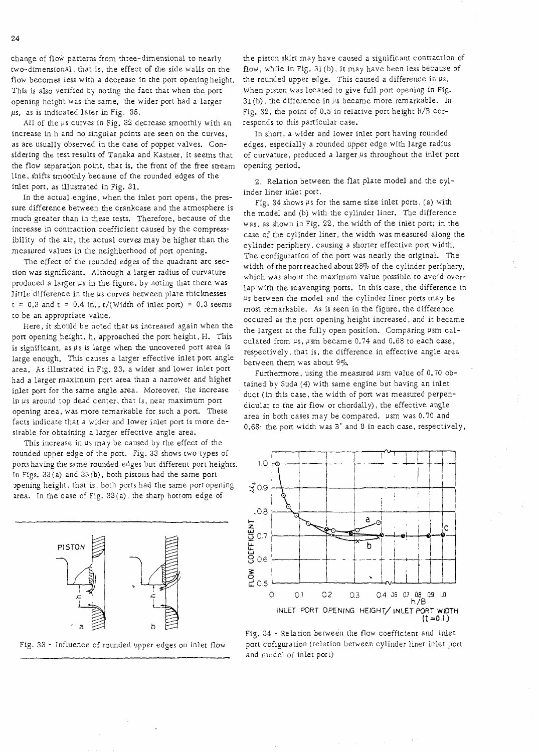change of flow patterns from three-dimensional to nearly two-dimensional, that is, the effect of the side walls on the flow becomes less with a decrease in the port openingheight. This is also verified by noting the fact that when the port opening height was the same, the wider port had a larger  $\mu$ s, as is indicated later in Fig. 35.

All of the  $\mu$ s curves in Fig. 32 decrease smoothly with an increase in h and no singular points are seen on the curves, as are usually observed in the case of poppet valves. Considering the test results of Tanaka and Kastner, it seems that the flow separation point, thar is, the front of the free sueam line, shifts smoothly because of the rounded edges of the inlet port, as illustrated in Fig. 31.

In the actual engine, when the inlet port opens, the pressure difference between the crankcase and the atmosphere is much greater than in these tests. Therefore, because of the increase in contraction coefficient caused by the compressibility of the air, the actual curves may be higher than the measured values in the neighborhood of port opening.

The effect of the rounded edges of the quadrant arc section was significant. Although a larger radius of curvature produced a larger  $\mu$ s in the figure, by noting that there was little difference in the  $\mu$ s curves between plate thicknesses  $t = 0.3$  and  $t = 0.4$  in.,  $t/(Width of inter port) = 0.3$  seems to be an appropriate value.

Here, it should be noted that  $\mu$ s increased again when the port opening height, h, approached the port height, H. This is significant, as  $\mu$ s is large when the uncovered port area is large enough. This causes a larger effective inlet port angle area. As illustrated in Fig. 23, a wider and lower inlet port had a larger maximum port area than a narrower and higher inlet port for the same angle area. Moreover, the increase in  $\mu$ s around top dead center, that is, near maximum port opening area, was more remarkable for such a port. These facts indicate that a wider and lower inlet port is more desirable for obtaining a larger effective angle area.

This increase in  $\mu$ s may be caused by the effect of the rounded upper edge of the port. Fig. 33 shows two types of ports having the same rounded edges but different port heights. 10 In Figs. 33 (a) and 33 (b) , both pistons had the same port 2pening height, that is, both ports had the same port opening  $\ddot{z}_{0.9}$  area. In the case of Fig. 33(a), the sharp bottom edge of



the piston skirt may have caused a significant contraction of flow, while in Fig. 31 (b), it may have been less because of the rounded upper edge. This caused a difference in  $\mu$ s. When piston was located to give full port opening in Fig.  $31(b)$ , the difference in  $\mu s$  became more remarkable. In Fig. 32, the point of 0.5 in relative port height h/B corresponds to this particular case.

In short, a wider and lower inlet port having rounded edges, especially a rounded upper edge with large radius of curvature, produced a larger  $\mu$ s throughout the inlet port opening period.

2. Relation between the flat plate model and the cylinder liner inlet port.

Fig. 34 shows  $\mu$ s for the same size inlet ports, (a) with the model and (b) with the cylinder liner. The difference was, as shown in Fig. 22, the width of the inlet port; in the case of the cylinder liner, the width was measured along the cylinder periphery, causing a shorter effective port width. The configuration of the port was nearly the original. The width of the portreached about 28% of the cylinder periphery, which was about the maximum value possible to avoid overlap with the scavenging ports. In this case, the difference in  $\mu$ s between the model and the cylinder liner ports may be most remarkable. As is seen in the figure, the difference occured as the port opening height increased, and it became the largest at the fully open position. Comparing  $\mu$ sm calculated from  $\mu$ s,  $\mu$ sm became 0.74 and 0.68 to each case, respectively, that is, the difference in effective angle area between them was about  $9\%$ .

Furthermore, using the measured  $\mu$ sm value of 0.70 obtained by Suda (4) with same engine but having an inlet duct (in this case, the width of port was measured perpendicular to the air flow or chordally), the effective angle area in both cases may be compared. usm was 0.70 and 0.68; the pon width was B' and B in each case, respectively,



Fig, 34 - Relation berween the flow coefficient and inlet Fig. 33 - Influence of rounded upper edges on inlet flow port cofiguration (relation between cylinder liner inlet port and model of inlet port)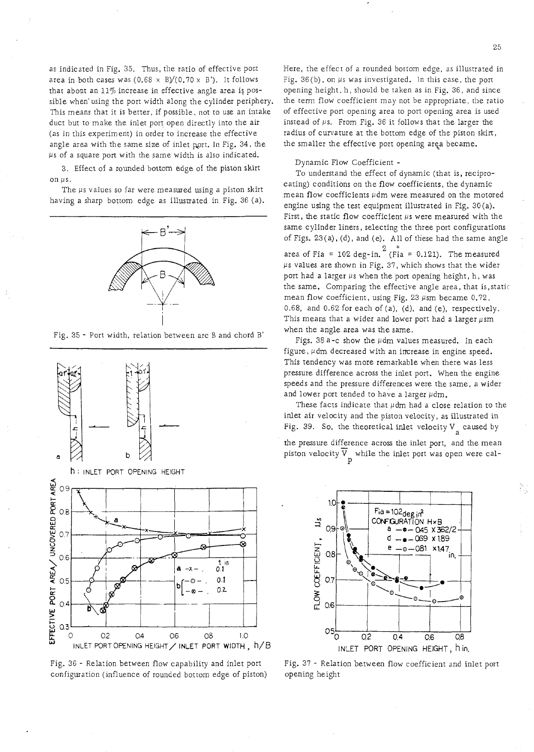as indicated in Fig. 35. Thus, the ratio of effective port area in both cases was  $(0.68 \times B)/(0.70 \times B')$ . It follows that about an  $11\%$  increase in effective angle area is possible when'using the port width along the cylinder periphery. This means that it is better, if possible, not to use an intake duct but to make the inler port open directly into the air (as in this experiment) in order to increase the effective angle area with the same size of inlet port. In Fig. 34, the  $\mu$ s of a square port with the same width is also indicated.

3. Effect of a rounded bottom edge of the piston skirt on  $\mu$ s.

The  $\mu$ s vaIues so far were measured using a piston skirt having a sharp bottom edge as illustrated in Fig. 36 (a).



Fig. 35 - Port width, relation between arc B and chord B'



Fig. 36 - Relarion between flow capability and inlet port configuration (influence of rounded bottom edge of piston)

25

N,

Here, the effect of a rounded bottom edge, as illustrated in Fig.  $36(b)$ , on  $\mu s$  was investigated. In this case, the port opening height, h, should be taken as in Fig. 36, and since the term flow coefficient may not be appropriate, the ratio of effective port opening area to port opening area is used instead of  $\mu$ s. From Fig. 36 it follows that the larger the radius of curvature at the bottom edge of the piston skirt, the smaller the effective port opening area became.

#### Dynamic Flow Coefficient -

To understand the effect of dynamic (that is, reciprocating) conditions on the flow coefficients, the dynamic mean flow coefficients  $\mu$ dm were measured on the motored engine using the test equipment illustrated in Fig. 30(a). First, the static flow coefficient  $\mu$ s were measured with the same cylinder liners, selecting the three port configurations of Figs. 23(a), (d), and (e). All of these had the same angle  $2$   $\approx$ area of Fia = 102 deg-in. (Fia = 0.121). The measured  $\mu$ s values are shown in Fig. 37, which shows that the wider port had a larger  $\mu$ s when the port opening height, h, was the same. Comparing the effective angle area, that is,static mean flow coefficient, using Fig.  $23 \mu s$ m became 0.72, 0.68, and 0.62 for each of (a), (d), and (e), respectively. This means that a wider and lower port had a larger  $\mu$ sm when the angle area was the same.

Figs. 38 a-c show the  $\mu$ dm values measured. In each figure,  $\mu$ dm decreased with an increase in engine speed. This tendency was more remarkable when there was less pressure difference across the inlet port. When the engine speeds and the pressure differences were the same, a wider and lower port tended to have a larger  $\mu$ dm.

These facts indicate that  $\mu$ dm had a close relation to the inlet air velocity and the piston velocity, as illustrated in Fig. 39. So, the theoretical inlet velocity  $V_{\text{g}}$  caused by the pressure difference across the inlet port, and the mean piston velocity  $\overline{V}$  while the inlet port was open were cal-

P



Fig. 37 - Relation between flow coefficient and inler port opening he ight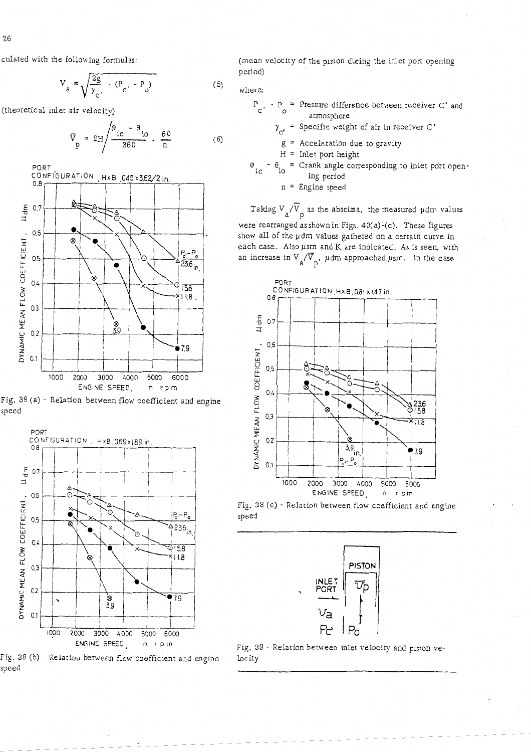culated with the following formula:

$$
V_a = \sqrt{\frac{2g}{\gamma_c} \cdot \frac{(P_c - P_o)}{C}}
$$

(theoretical inlet air velocity)

$$
\overline{V}_{p} = 2H \frac{\theta_{ic} - \theta_{io}}{360} \cdot \frac{60}{n}
$$







Fig. 38 (b) - Relation between flow coefficient and engine speed

(mean velocity of the piston during the inlet port opening period)

$$
(\circ) \qquad \text{where:}
$$

 $\overline{a}$ 

 $(6)$ 

 $P_{C'} - P_{O} =$  Pressure difference between receiver C' and atmosphere

 $\gamma_{c'}$  = Specific weight of air in receiver C'

 $g =$  Acceleration due to gravity

 $H =$  Inlet port height

 $\theta_{ic}$  -  $\theta_{io}$  = Crank angle corresponding to inlet port opening period

 $n =$  Engine speed

Taking  $V_a/\overline{V}_p$  as the abscissa, the measured  $\mu$ dm values were rearranged asshownin Figs. 40(a)-(c). These figures show all of the pdm values gathered on a certain curve in each case. Also  $\mu$ sm and K are indicated. As is seen, with an increase in  $V_a/\overline{V}_b$ ,  $\mu$ dm approached  $\mu$ sm. In the case



Fig. 38 (c) - Relation becween flow coefficient and engine speed



Fig. 39 - Relation between inlet velocity and piston velocity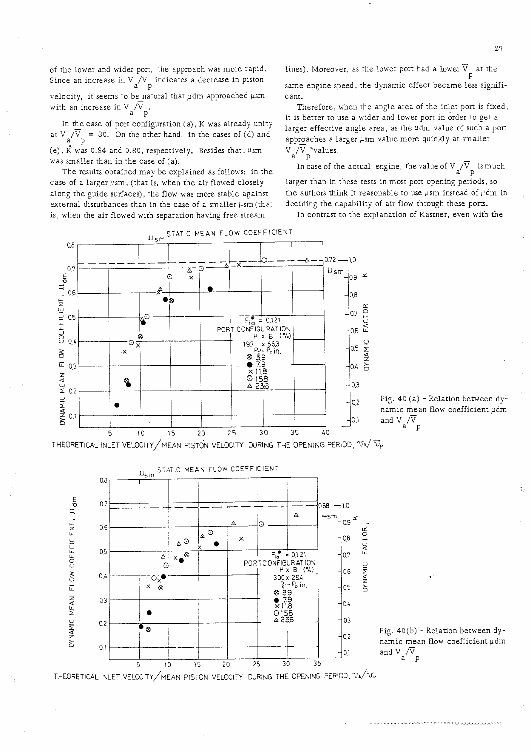of the lower and wider port, the approach was more rapid. Since an increase in V  $/{\rm V}$  indicates a decrease in piston aP velocity, it seems to be natural that  $\mu$ dm approached  $\mu$ sm with an increase in  $V_a/\overline{V}$ 

In the case of port configuration (a), K was already unity at  $V \sqrt{V}$  = 30. On the other hand, in the cases of (d) and (e),  $\vec{K}$  was 0.94 and 0.80, respectively. Besides that,  $\mu$ sm was smaller than in the case of (a).

The results obtained may be explained as follows: in the case of a larger  $\mu$ sm, (that is, when the air flowed closely along the guide surfaces), the flow was more stable against external disturbances than in the case of a smaller  $\mu$ sm (that is, when the air flowed with separation having free stream

lines). Moreover, as the lower port-had a lower  $\overline{V}_p$  at the

same engine speed, the dynamic effect became less significant.

Therefore, when the angle area of the inlet port is fixed, it is better to use a wider and lower port in order to get a larger effective angle area, as the  $\mu$ dm value of such a port approaches a larger  $\mu$ sm value more quickly at smaller  $V_a/V_p$  values.

In case of the actual engine, the value of  $V_{\text{a}}/\overline{V}_{\text{p}}$  is much larger than in these tests in most port opening periods, so the authors think it reasonable to use  $\mu$ sm instead of  $\mu$ dm in deciding the capability of air flow through these ports.

In contrast to the explanation of Kastner, even with the



Fig. 40 (a) - Relation between dynamic mean flow coefficient pdm  $\frac{1}{2}$ 0.1 and V<sub>a</sub> $\sqrt{V}$ <sub>p</sub>

THEORETICAL INLET VELOCITY/MEAN PISTON VELOCITY DURING THE OPENING PERIOD, **~a/** Tp

STATIC MEAN FLOW COEFFICIENT  $\frac{11}{5}$ m  $0.8$ FLOW COEFFICIENT, Lidm  $0.7$ 830  $1.0$  $\Delta$  $\mathfrak{u}_{\mathsf{sm}}$ ×  $0,9$  $0.6$  $\circ$ FACTOR  $\Delta$  $\times$  $0,8$  $_\Delta$   $\odot$  $0.5$  $F_{ia}^* = 0.121$ <br>PORTCONFIGURATION  $0.7$  $x_{\bullet}^{\otimes}$ ا ہ  $\circ$ NAMIC  $H \times B$  $(°/_0)$ 0,6  $0.4$ ∵⊙ୃ୍● 300 x 294  $\frac{2}{5}$  P<sub>o</sub> in  $\frac{1}{5}$ ī,  $\boldsymbol{\mathsf{x}}$  $^{\circ}$  $0.5$  $\frac{839}{18}$ DYNAMIC MEAN  $0.3$ 10.4  $O158$  $0,3$  $0<sub>2</sub>$  $\overline{\bullet_{\otimes}}$ 10.2  $0.1$  $\exists$ יי THEORETICAL INLET VELOCITY/MEAN PISTON VELOCITY DURING THE OPENING PERIOD.  $V_4/\overline{V_r}$ 

Fig. 40(b) - Relation between dynamic mean flow coefficient  $\mu$ dm and  $V_a/\overline{V}_p$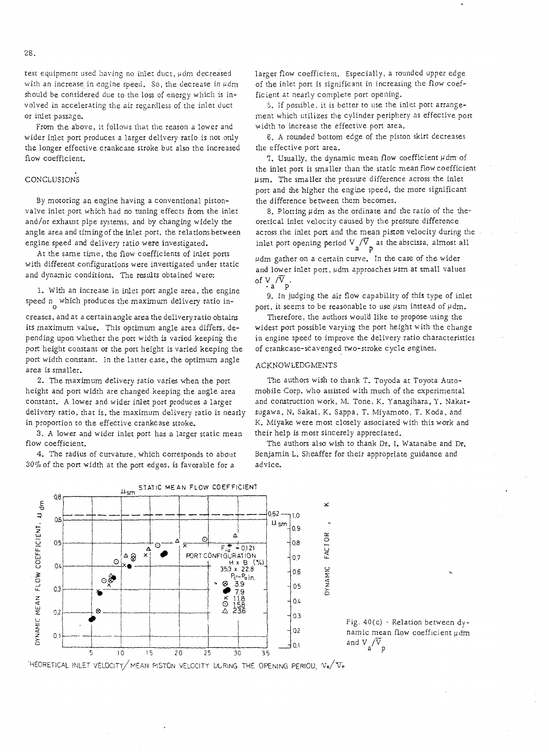From the above, it follows that the reason a lower and wider inlet port produces a larger delivery ratio is not only the longer effective crankcase stroke but also the increased flow coefficient.

#### CONCLUSIONS

By mororing an engine having a conventional pistonvalve inlet port. which had no tuning effects from the inler and/or exhaust pipe systems, and by changing widely the angle area and timing of the inlet port, the relations between engine speed and delivery ratio were investigated.

At the same time, the flow coefficients of inlet ports with different configurations were investigated under static and dynamic conditions. The results obtained were:

1. With an increase in inlet port angle area, the engine speed  $n_0$  which produces the maximum delivery ratio in-

creases, and at a certain angle area the delivery ratio obtains its maximum value. This optimum angle area differs, depending upon whether the port width is varied keeping the port height constant or the port height is varied keeping the port width constant. In the latter case, the oprimum angle area is smaller.

2. The maximum delivery ratio varies when the port height and port width are changed keeping the angle area constant. A lower and wider inlet port produces a larger delivery ratio, that is, the maximum delivery ratio is nearly in proportion to the effective crankcase stroke.

3. A lower and wider inlet port has a larger static mean flow coefficient,

4. The radius of curvature, which corresponds to about 30% of the port width at the port edges, is favorable for a



5. If possible, it is better to use the inlet port arrangement which utilizes the cylinder periphery as effective port width to increase the effective port area.

*6.* A rounded bottom edge of the piston skirt decreases the effective port area.

7. Usually, the dynamic mean flow coefficient  $\mu$ dm of the inlet port is smaller than the static mean flow coefficient psm. The smalIer the pressure difference across the inlet port and he higher the engine speed, the more significant the difference between them becomes.

8. Plotting  $\mu$ dm as the ordinate and the ratio of the theoretical inlet velocity caused by the pressure difference across the inlet port and the mean piston velocity during the inlet port opening period  $V_{a}/\overline{V}_{p}$  as the abscissa, almost all

 $\mu$ dm gather on a certain curve. In the case of the wider and lower inlet port,  $\mu$ dm approaches  $\mu$ sm at small values of  $V_a/\overline{V}_p$ .

9. In judging the air flow capability of this type of inlet port, it seems to be reasonable to use  $\mu$ sm instead of  $\mu$ dm.

Therefore, the authors would like to propose using the widest port possible varying the port height with the change in engine speed to improve the delivery ratio characteristics of crankcase-scavenged two-stroke cycle engines.

#### ACKNOWLEDGMENTS

The authors wish to thank T. Toyoda at Toyota Automobile Corp. who assisted with much of the experimental and construction work, M. Tone, K. Yanagihara, Y. Nakatsugawa, N. Sakai, K. Sappa, T. Miyamoto, T. Koda, and K. Miyake were most closely associated with this work and their help is most sincerely appreciated.

The authors also wish to thank Dr. I. Waranabe and Dr. Benjamin L. Sheaffer for their appropriate guidance and advice.

×

**FACTOR** 

JYNAMIC



Fig. 40(c) - Relation between dynamic mean flow coefficient  $\mu$ dm and  $V_a/\overline{V}_p$ 

HEORETICAL INLET VELOCITY/MEAN PISTON VELOCITY UURING THE OPENING PERIOU,  $v_{\bullet}/v_{\gamma}$